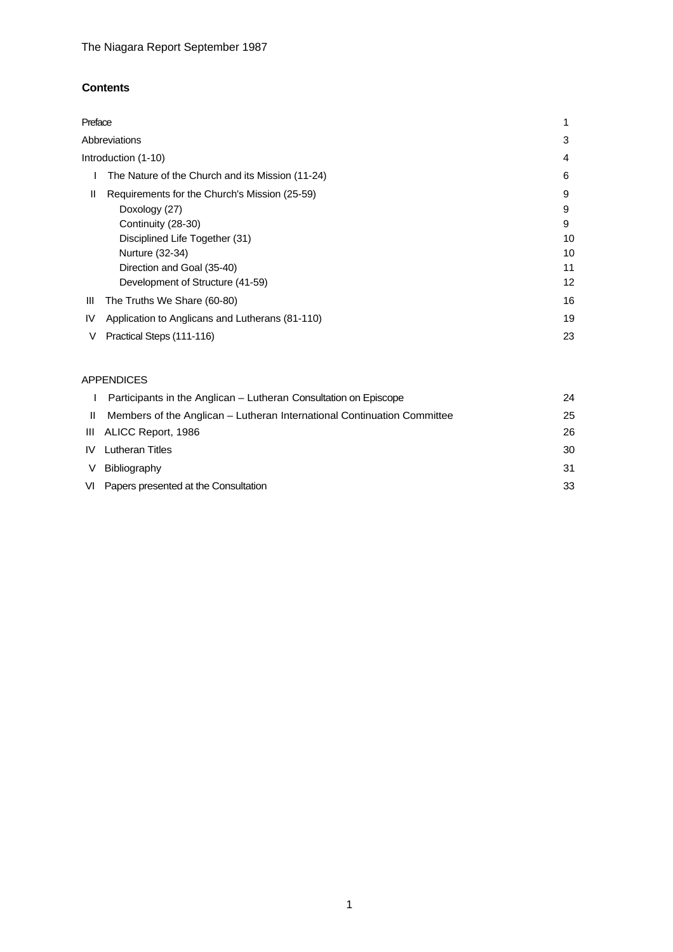## **Contents**

| Preface             |                                                  |    |
|---------------------|--------------------------------------------------|----|
| Abbreviations       |                                                  | 3  |
| Introduction (1-10) |                                                  | 4  |
|                     | The Nature of the Church and its Mission (11-24) | 6  |
| Ш                   | Requirements for the Church's Mission (25-59)    | 9  |
|                     | Doxology (27)                                    | 9  |
|                     | Continuity (28-30)                               | 9  |
|                     | Disciplined Life Together (31)                   | 10 |
|                     | Nurture (32-34)                                  | 10 |
|                     | Direction and Goal (35-40)                       | 11 |
|                     | Development of Structure (41-59)                 | 12 |
| Ш                   | The Truths We Share (60-80)                      | 16 |
| IV                  | Application to Anglicans and Lutherans (81-110)  | 19 |
| V                   | Practical Steps (111-116)                        | 23 |

## APPENDICES

| Participants in the Anglican – Lutheran Consultation on Episcope        | 24 |
|-------------------------------------------------------------------------|----|
| Members of the Anglican – Lutheran International Continuation Committee | 25 |
| III ALICC Report, 1986                                                  | 26 |
| Lutheran Titles                                                         | 30 |
| Bibliography                                                            | 31 |
| VI Papers presented at the Consultation                                 | 33 |
|                                                                         |    |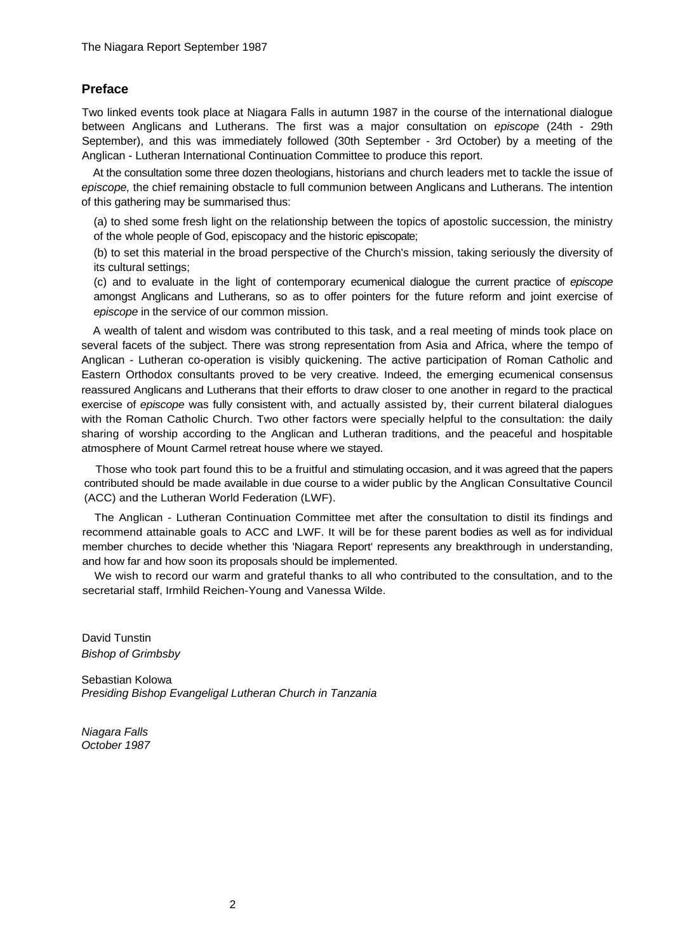## **Preface**

Two linked events took place at Niagara Falls in autumn 1987 in the course of the international dialogue between Anglicans and Lutherans. The first was a major consultation on *episcope* (24th - 29th September), and this was immediately followed (30th September - 3rd October) by a meeting of the Anglican - Lutheran International Continuation Committee to produce this report.

At the consultation some three dozen theologians, historians and church leaders met to tackle the issue of *episcope,* the chief remaining obstacle to full communion between Anglicans and Lutherans. The intention of this gathering may be summarised thus:

(a) to shed some fresh light on the relationship between the topics of apostolic succession, the ministry of the whole people of God, episcopacy and the historic episcopate;

(b) to set this material in the broad perspective of the Church's mission, taking seriously the diversity of its cultural settings;

(c) and to evaluate in the light of contemporary ecumenical dialogue the current practice of *episcope*  amongst Anglicans and Lutherans, so as to offer pointers for the future reform and joint exercise of *episcope* in the service of our common mission.

A wealth of talent and wisdom was contributed to this task, and a real meeting of minds took place on several facets of the subject. There was strong representation from Asia and Africa, where the tempo of Anglican - Lutheran co-operation is visibly quickening. The active participation of Roman Catholic and Eastern Orthodox consultants proved to be very creative. Indeed, the emerging ecumenical consensus reassured Anglicans and Lutherans that their efforts to draw closer to one another in regard to the practical exercise of *episcope* was fully consistent with, and actually assisted by, their current bilateral dialogues with the Roman Catholic Church. Two other factors were specially helpful to the consultation: the daily sharing of worship according to the Anglican and Lutheran traditions, and the peaceful and hospitable atmosphere of Mount Carmel retreat house where we stayed.

Those who took part found this to be a fruitful and stimulating occasion, and it was agreed that the papers contributed should be made available in due course to a wider public by the Anglican Consultative Council (ACC) and the Lutheran World Federation (LWF).

The Anglican - Lutheran Continuation Committee met after the consultation to distil its findings and recommend attainable goals to ACC and LWF. It will be for these parent bodies as well as for individual member churches to decide whether this 'Niagara Report' represents any breakthrough in understanding, and how far and how soon its proposals should be implemented.

We wish to record our warm and grateful thanks to all who contributed to the consultation, and to the secretarial staff, Irmhild Reichen-Young and Vanessa Wilde.

David Tunstin *Bishop of Grimbsby* 

Sebastian Kolowa *Presiding Bishop Evangeligal Lutheran Church in Tanzania* 

*Niagara Falls October 1987*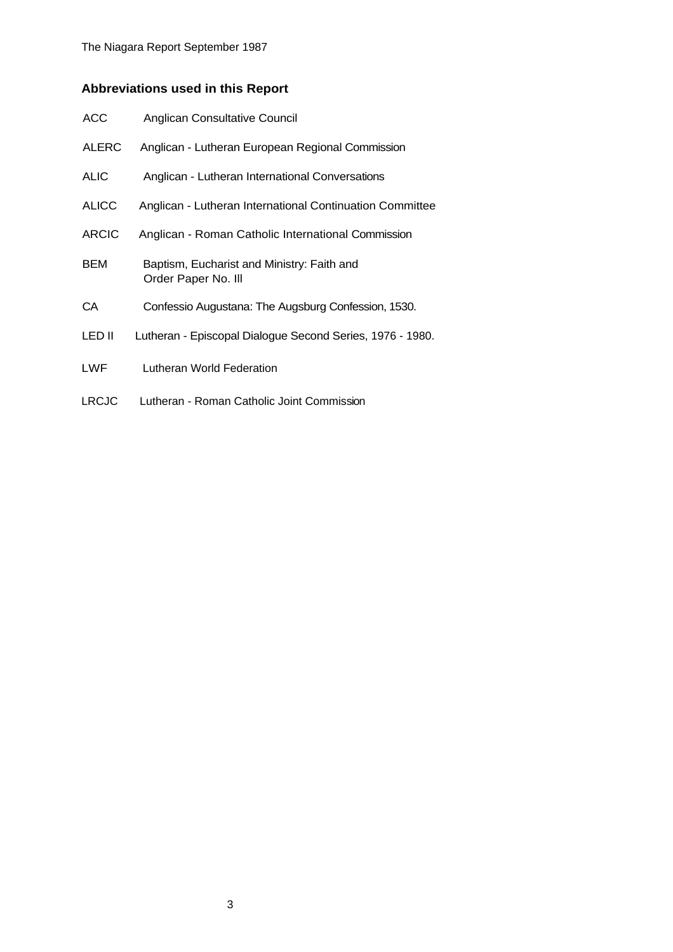# **Abbreviations used in this Report**

| <b>ACC</b>   | Anglican Consultative Council                                     |
|--------------|-------------------------------------------------------------------|
| <b>ALERC</b> | Anglican - Lutheran European Regional Commission                  |
| <b>ALIC</b>  | Anglican - Lutheran International Conversations                   |
| <b>ALICC</b> | Anglican - Lutheran International Continuation Committee          |
| <b>ARCIC</b> | Anglican - Roman Catholic International Commission                |
| BEM          | Baptism, Eucharist and Ministry: Faith and<br>Order Paper No. III |
| CA           | Confessio Augustana: The Augsburg Confession, 1530.               |
| LED II       | Lutheran - Episcopal Dialogue Second Series, 1976 - 1980.         |
| LWF          | Lutheran World Federation                                         |
| <b>LRCJC</b> | Lutheran - Roman Catholic Joint Commission                        |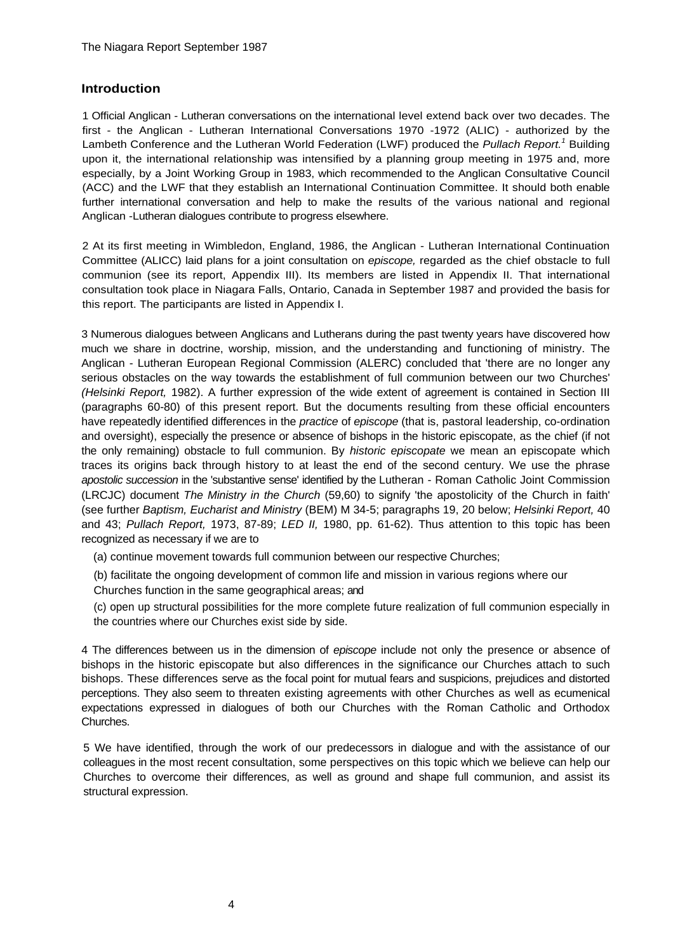### **Introduction**

1 Official Anglican - Lutheran conversations on the international level extend back over two decades. The first - the Anglican - Lutheran International Conversations 1970 -1972 (ALIC) - authorized by the Lambeth Conference and the Lutheran World Federation (LWF) produced the *Pullach Report.1* Building upon it, the international relationship was intensified by a planning group meeting in 1975 and, more especially, by a Joint Working Group in 1983, which recommended to the Anglican Consultative Council (ACC) and the LWF that they establish an International Continuation Committee. It should both enable further international conversation and help to make the results of the various national and regional Anglican -Lutheran dialogues contribute to progress elsewhere.

2 At its first meeting in Wimbledon, England, 1986, the Anglican - Lutheran International Continuation Committee (ALICC) laid plans for a joint consultation on *episcope,* regarded as the chief obstacle to full communion (see its report, Appendix III). Its members are listed in Appendix II. That international consultation took place in Niagara Falls, Ontario, Canada in September 1987 and provided the basis for this report. The participants are listed in Appendix I.

3 Numerous dialogues between Anglicans and Lutherans during the past twenty years have discovered how much we share in doctrine, worship, mission, and the understanding and functioning of ministry. The Anglican - Lutheran European Regional Commission (ALERC) concluded that 'there are no longer any serious obstacles on the way towards the establishment of full communion between our two Churches' *(Helsinki Report,* 1982). A further expression of the wide extent of agreement is contained in Section III (paragraphs 60-80) of this present report. But the documents resulting from these official encounters have repeatedly identified differences in the *practice* of *episcope* (that is, pastoral leadership, co-ordination and oversight), especially the presence or absence of bishops in the historic episcopate, as the chief (if not the only remaining) obstacle to full communion. By *historic episcopate* we mean an episcopate which traces its origins back through history to at least the end of the second century. We use the phrase *apostolic succession* in the 'substantive sense' identified by the Lutheran - Roman Catholic Joint Commission (LRCJC) document *The Ministry in the Church* (59,60) to signify 'the apostolicity of the Church in faith' (see further *Baptism, Eucharist and Ministry* (BEM) M 34-5; paragraphs 19, 20 below; *Helsinki Report,* 40 and 43; *Pullach Report,* 1973, 87-89; *LED II,* 1980, pp. 61-62). Thus attention to this topic has been recognized as necessary if we are to

(a) continue movement towards full communion between our respective Churches;

(b) facilitate the ongoing development of common life and mission in various regions where our

Churches function in the same geographical areas; and

(c) open up structural possibilities for the more complete future realization of full communion especially in the countries where our Churches exist side by side.

4 The differences between us in the dimension of *episcope* include not only the presence or absence of bishops in the historic episcopate but also differences in the significance our Churches attach to such bishops. These differences serve as the focal point for mutual fears and suspicions, prejudices and distorted perceptions. They also seem to threaten existing agreements with other Churches as well as ecumenical expectations expressed in dialogues of both our Churches with the Roman Catholic and Orthodox Churches.

5 We have identified, through the work of our predecessors in dialogue and with the assistance of our colleagues in the most recent consultation, some perspectives on this topic which we believe can help our Churches to overcome their differences, as well as ground and shape full communion, and assist its structural expression.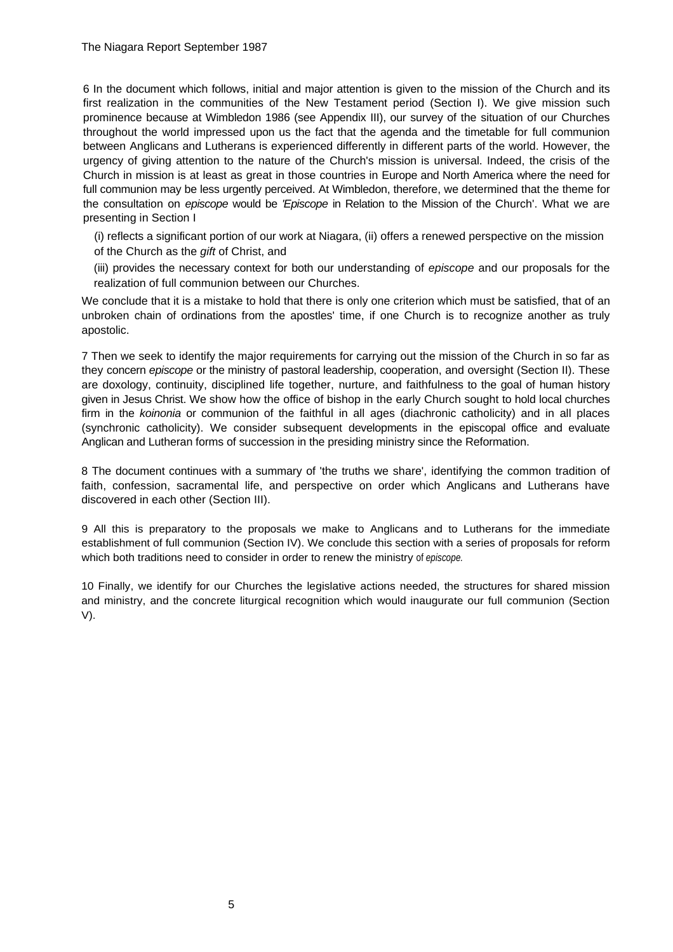6 In the document which follows, initial and major attention is given to the mission of the Church and its first realization in the communities of the New Testament period (Section I). We give mission such prominence because at Wimbledon 1986 (see Appendix III), our survey of the situation of our Churches throughout the world impressed upon us the fact that the agenda and the timetable for full communion between Anglicans and Lutherans is experienced differently in different parts of the world. However, the urgency of giving attention to the nature of the Church's mission is universal. Indeed, the crisis of the Church in mission is at least as great in those countries in Europe and North America where the need for full communion may be less urgently perceived. At Wimbledon, therefore, we determined that the theme for the consultation on *episcope* would be *'Episcope* in Relation to the Mission of the Church'. What we are presenting in Section I

(i) reflects a significant portion of our work at Niagara, (ii) offers a renewed perspective on the mission of the Church as the *gift* of Christ, and

(iii) provides the necessary context for both our understanding of *episcope* and our proposals for the realization of full communion between our Churches.

We conclude that it is a mistake to hold that there is only one criterion which must be satisfied, that of an unbroken chain of ordinations from the apostles' time, if one Church is to recognize another as truly apostolic.

7 Then we seek to identify the major requirements for carrying out the mission of the Church in so far as they concern *episcope* or the ministry of pastoral leadership, cooperation, and oversight (Section II). These are doxology, continuity, disciplined life together, nurture, and faithfulness to the goal of human history given in Jesus Christ. We show how the office of bishop in the early Church sought to hold local churches firm in the *koinonia* or communion of the faithful in all ages (diachronic catholicity) and in all places (synchronic catholicity). We consider subsequent developments in the episcopal office and evaluate Anglican and Lutheran forms of succession in the presiding ministry since the Reformation.

8 The document continues with a summary of 'the truths we share', identifying the common tradition of faith, confession, sacramental life, and perspective on order which Anglicans and Lutherans have discovered in each other (Section III).

9 All this is preparatory to the proposals we make to Anglicans and to Lutherans for the immediate establishment of full communion (Section IV). We conclude this section with a series of proposals for reform which both traditions need to consider in order to renew the ministry of *episcope.*

10 Finally, we identify for our Churches the legislative actions needed, the structures for shared mission and ministry, and the concrete liturgical recognition which would inaugurate our full communion (Section V).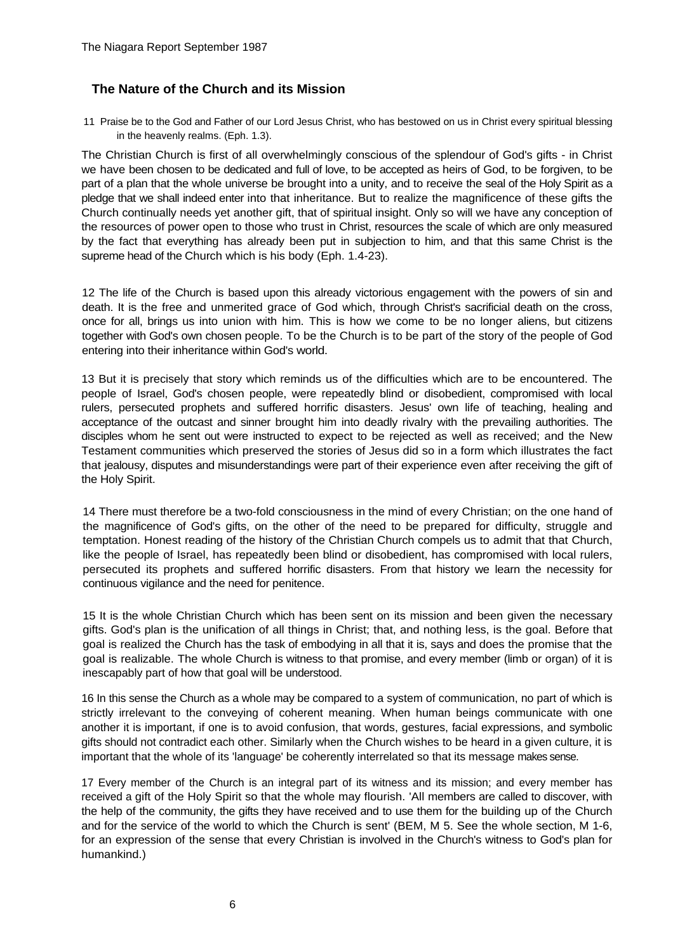## **The Nature of the Church and its Mission**

11 Praise be to the God and Father of our Lord Jesus Christ, who has bestowed on us in Christ every spiritual blessing in the heavenly realms. (Eph. 1.3).

The Christian Church is first of all overwhelmingly conscious of the splendour of God's gifts - in Christ we have been chosen to be dedicated and full of love, to be accepted as heirs of God, to be forgiven, to be part of a plan that the whole universe be brought into a unity, and to receive the seal of the Holy Spirit as a pledge that we shall indeed enter into that inheritance. But to realize the magnificence of these gifts the Church continually needs yet another gift, that of spiritual insight. Only so will we have any conception of the resources of power open to those who trust in Christ, resources the scale of which are only measured by the fact that everything has already been put in subjection to him, and that this same Christ is the supreme head of the Church which is his body (Eph. 1.4-23).

12 The life of the Church is based upon this already victorious engagement with the powers of sin and death. It is the free and unmerited grace of God which, through Christ's sacrificial death on the cross, once for all, brings us into union with him. This is how we come to be no longer aliens, but citizens together with God's own chosen people. To be the Church is to be part of the story of the people of God entering into their inheritance within God's world.

13 But it is precisely that story which reminds us of the difficulties which are to be encountered. The people of Israel, God's chosen people, were repeatedly blind or disobedient, compromised with local rulers, persecuted prophets and suffered horrific disasters. Jesus' own life of teaching, healing and acceptance of the outcast and sinner brought him into deadly rivalry with the prevailing authorities. The disciples whom he sent out were instructed to expect to be rejected as well as received; and the New Testament communities which preserved the stories of Jesus did so in a form which illustrates the fact that jealousy, disputes and misunderstandings were part of their experience even after receiving the gift of the Holy Spirit.

14 There must therefore be a two-fold consciousness in the mind of every Christian; on the one hand of the magnificence of God's gifts, on the other of the need to be prepared for difficulty, struggle and temptation. Honest reading of the history of the Christian Church compels us to admit that that Church, like the people of Israel, has repeatedly been blind or disobedient, has compromised with local rulers, persecuted its prophets and suffered horrific disasters. From that history we learn the necessity for continuous vigilance and the need for penitence.

15 It is the whole Christian Church which has been sent on its mission and been given the necessary gifts. God's plan is the unification of all things in Christ; that, and nothing less, is the goal. Before that goal is realized the Church has the task of embodying in all that it is, says and does the promise that the goal is realizable. The whole Church is witness to that promise, and every member (limb or organ) of it is inescapably part of how that goal will be understood.

16 In this sense the Church as a whole may be compared to a system of communication, no part of which is strictly irrelevant to the conveying of coherent meaning. When human beings communicate with one another it is important, if one is to avoid confusion, that words, gestures, facial expressions, and symbolic gifts should not contradict each other. Similarly when the Church wishes to be heard in a given culture, it is important that the whole of its 'language' be coherently interrelated so that its message makes sense.

17 Every member of the Church is an integral part of its witness and its mission; and every member has received a gift of the Holy Spirit so that the whole may flourish. 'All members are called to discover, with the help of the community, the gifts they have received and to use them for the building up of the Church and for the service of the world to which the Church is sent' (BEM, M 5. See the whole section, M 1-6, for an expression of the sense that every Christian is involved in the Church's witness to God's plan for humankind.)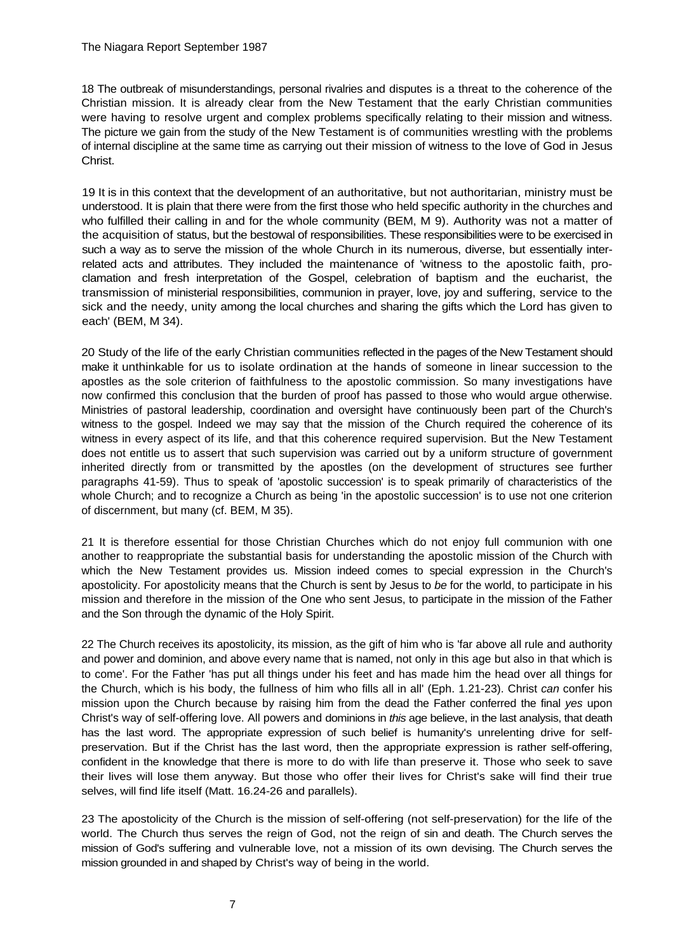18 The outbreak of misunderstandings, personal rivalries and disputes is a threat to the coherence of the Christian mission. It is already clear from the New Testament that the early Christian communities were having to resolve urgent and complex problems specifically relating to their mission and witness. The picture we gain from the study of the New Testament is of communities wrestling with the problems of internal discipline at the same time as carrying out their mission of witness to the love of God in Jesus Christ.

19 It is in this context that the development of an authoritative, but not authoritarian, ministry must be understood. It is plain that there were from the first those who held specific authority in the churches and who fulfilled their calling in and for the whole community (BEM, M 9). Authority was not a matter of the acquisition of status, but the bestowal of responsibilities. These responsibilities were to be exercised in such a way as to serve the mission of the whole Church in its numerous, diverse, but essentially interrelated acts and attributes. They included the maintenance of 'witness to the apostolic faith, proclamation and fresh interpretation of the Gospel, celebration of baptism and the eucharist, the transmission of ministerial responsibilities, communion in prayer, love, joy and suffering, service to the sick and the needy, unity among the local churches and sharing the gifts which the Lord has given to each' (BEM, M 34).

20 Study of the life of the early Christian communities reflected in the pages of the New Testament should make it unthinkable for us to isolate ordination at the hands of someone in linear succession to the apostles as the sole criterion of faithfulness to the apostolic commission. So many investigations have now confirmed this conclusion that the burden of proof has passed to those who would argue otherwise. Ministries of pastoral leadership, coordination and oversight have continuously been part of the Church's witness to the gospel. Indeed we may say that the mission of the Church required the coherence of its witness in every aspect of its life, and that this coherence required supervision. But the New Testament does not entitle us to assert that such supervision was carried out by a uniform structure of government inherited directly from or transmitted by the apostles (on the development of structures see further paragraphs 41-59). Thus to speak of 'apostolic succession' is to speak primarily of characteristics of the whole Church; and to recognize a Church as being 'in the apostolic succession' is to use not one criterion of discernment, but many (cf. BEM, M 35).

21 It is therefore essential for those Christian Churches which do not enjoy full communion with one another to reappropriate the substantial basis for understanding the apostolic mission of the Church with which the New Testament provides us. Mission indeed comes to special expression in the Church's apostolicity. For apostolicity means that the Church is sent by Jesus to *be* for the world, to participate in his mission and therefore in the mission of the One who sent Jesus, to participate in the mission of the Father and the Son through the dynamic of the Holy Spirit.

22 The Church receives its apostolicity, its mission, as the gift of him who is 'far above all rule and authority and power and dominion, and above every name that is named, not only in this age but also in that which is to come'. For the Father 'has put all things under his feet and has made him the head over all things for the Church, which is his body, the fullness of him who fills all in all' (Eph. 1.21-23). Christ *can* confer his mission upon the Church because by raising him from the dead the Father conferred the final *yes* upon Christ's way of self-offering love. All powers and dominions in *this* age believe, in the last analysis, that death has the last word. The appropriate expression of such belief is humanity's unrelenting drive for selfpreservation. But if the Christ has the last word, then the appropriate expression is rather self-offering, confident in the knowledge that there is more to do with life than preserve it. Those who seek to save their lives will lose them anyway. But those who offer their lives for Christ's sake will find their true selves, will find life itself (Matt. 16.24-26 and parallels).

23 The apostolicity of the Church is the mission of self-offering (not self-preservation) for the life of the world. The Church thus serves the reign of God, not the reign of sin and death. The Church serves the mission of God's suffering and vulnerable love, not a mission of its own devising. The Church serves the mission grounded in and shaped by Christ's way of being in the world.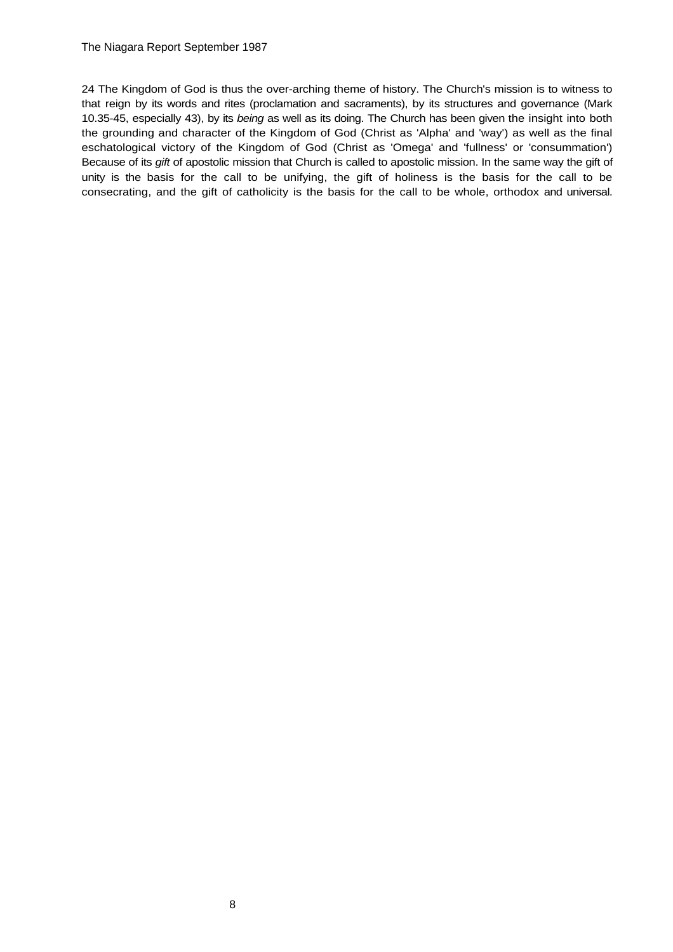### The Niagara Report September 1987

24 The Kingdom of God is thus the over-arching theme of history. The Church's mission is to witness to that reign by its words and rites (proclamation and sacraments), by its structures and governance (Mark 10.35-45, especially 43), by its *being* as well as its doing. The Church has been given the insight into both the grounding and character of the Kingdom of God (Christ as 'Alpha' and 'way') as well as the final eschatological victory of the Kingdom of God (Christ as 'Omega' and 'fullness' or 'consummation') Because of its *gift* of apostolic mission that Church is called to apostolic mission. In the same way the gift of unity is the basis for the call to be unifying, the gift of holiness is the basis for the call to be consecrating, and the gift of catholicity is the basis for the call to be whole, orthodox and universal.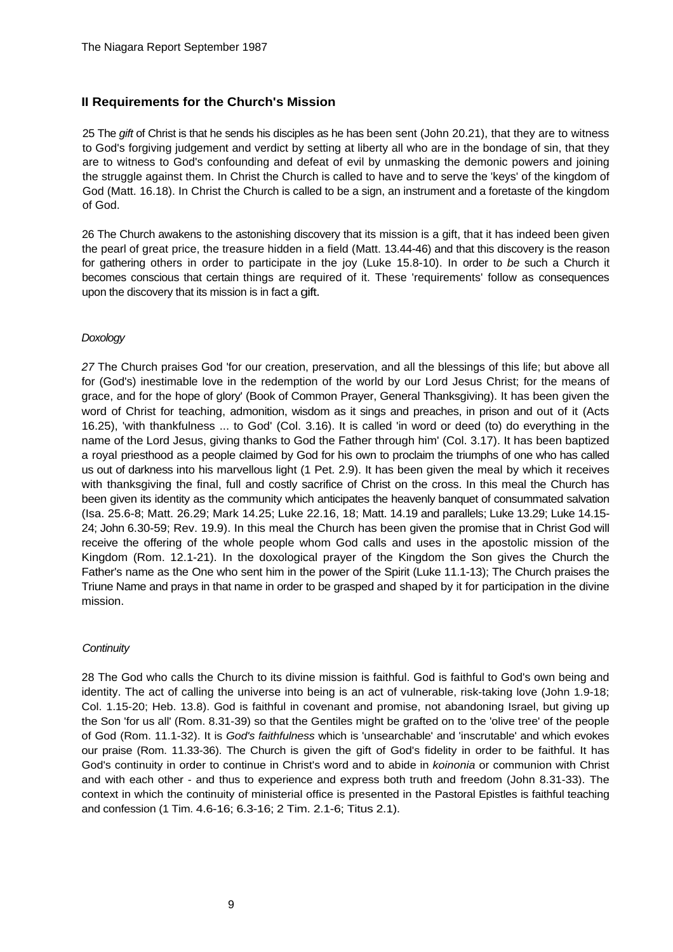## **II Requirements for the Church's Mission**

25 The *gift* of Christ is that he sends his disciples as he has been sent (John 20.21), that they are to witness to God's forgiving judgement and verdict by setting at liberty all who are in the bondage of sin, that they are to witness to God's confounding and defeat of evil by unmasking the demonic powers and joining the struggle against them. In Christ the Church is called to have and to serve the 'keys' of the kingdom of God (Matt. 16.18). In Christ the Church is called to be a sign, an instrument and a foretaste of the kingdom of God.

26 The Church awakens to the astonishing discovery that its mission is a gift, that it has indeed been given the pearl of great price, the treasure hidden in a field (Matt. 13.44-46) and that this discovery is the reason for gathering others in order to participate in the joy (Luke 15.8-10). In order to *be* such a Church it becomes conscious that certain things are required of it. These 'requirements' follow as consequences upon the discovery that its mission is in fact a gift.

## *Doxology*

*27* The Church praises God 'for our creation, preservation, and all the blessings of this life; but above all for (God's) inestimable love in the redemption of the world by our Lord Jesus Christ; for the means of grace, and for the hope of glory' (Book of Common Prayer, General Thanksgiving). It has been given the word of Christ for teaching, admonition, wisdom as it sings and preaches, in prison and out of it (Acts 16.25), 'with thankfulness ... to God' (Col. 3.16). It is called 'in word or deed (to) do everything in the name of the Lord Jesus, giving thanks to God the Father through him' (Col. 3.17). It has been baptized a royal priesthood as a people claimed by God for his own to proclaim the triumphs of one who has called us out of darkness into his marvellous light (1 Pet. 2.9). It has been given the meal by which it receives with thanksgiving the final, full and costly sacrifice of Christ on the cross. In this meal the Church has been given its identity as the community which anticipates the heavenly banquet of consummated salvation (Isa. 25.6-8; Matt. 26.29; Mark 14.25; Luke 22.16, 18; Matt. 14.19 and parallels; Luke 13.29; Luke 14.15- 24; John 6.30-59; Rev. 19.9). In this meal the Church has been given the promise that in Christ God will receive the offering of the whole people whom God calls and uses in the apostolic mission of the Kingdom (Rom. 12.1-21). In the doxological prayer of the Kingdom the Son gives the Church the Father's name as the One who sent him in the power of the Spirit (Luke 11.1-13); The Church praises the Triune Name and prays in that name in order to be grasped and shaped by it for participation in the divine mission.

## *Continuity*

28 The God who calls the Church to its divine mission is faithful. God is faithful to God's own being and identity. The act of calling the universe into being is an act of vulnerable, risk-taking love (John 1.9-18; Col. 1.15-20; Heb. 13.8). God is faithful in covenant and promise, not abandoning Israel, but giving up the Son 'for us all' (Rom. 8.31-39) so that the Gentiles might be grafted on to the 'olive tree' of the people of God (Rom. 11.1-32). It is *God's faithfulness* which is 'unsearchable' and 'inscrutable' and which evokes our praise (Rom. 11.33-36). The Church is given the gift of God's fidelity in order to be faithful. It has God's continuity in order to continue in Christ's word and to abide in *koinonia* or communion with Christ and with each other - and thus to experience and express both truth and freedom (John 8.31-33). The context in which the continuity of ministerial office is presented in the Pastoral Epistles is faithful teaching and confession (1 Tim. 4.6-16; 6.3-16; 2 Tim. 2.1-6; Titus 2.1).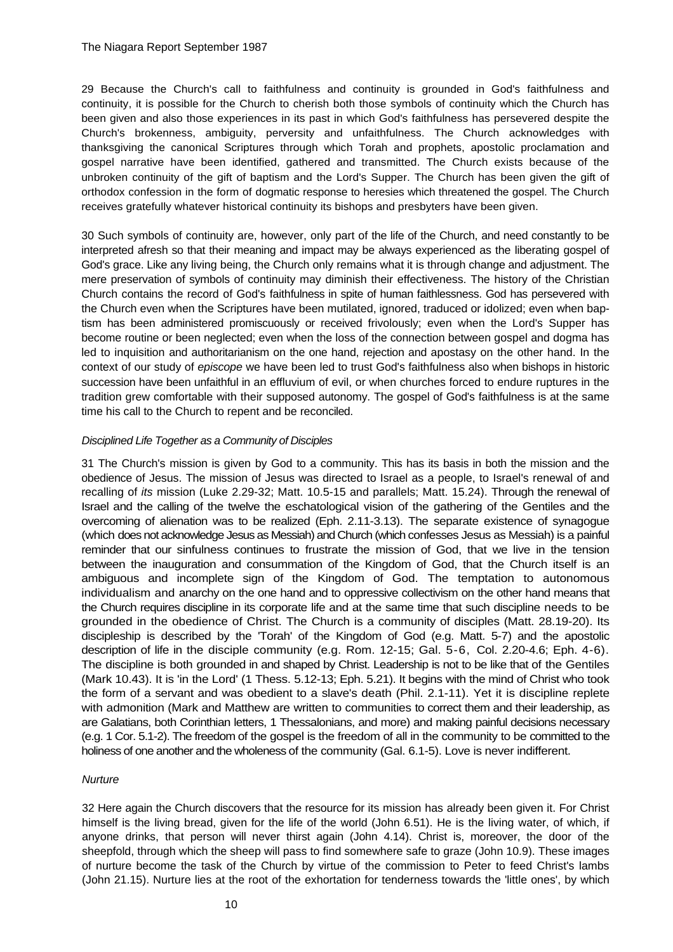29 Because the Church's call to faithfulness and continuity is grounded in God's faithfulness and continuity, it is possible for the Church to cherish both those symbols of continuity which the Church has been given and also those experiences in its past in which God's faithfulness has persevered despite the Church's brokenness, ambiguity, perversity and unfaithfulness. The Church acknowledges with thanksgiving the canonical Scriptures through which Torah and prophets, apostolic proclamation and gospel narrative have been identified, gathered and transmitted. The Church exists because of the unbroken continuity of the gift of baptism and the Lord's Supper. The Church has been given the gift of orthodox confession in the form of dogmatic response to heresies which threatened the gospel. The Church receives gratefully whatever historical continuity its bishops and presbyters have been given.

30 Such symbols of continuity are, however, only part of the life of the Church, and need constantly to be interpreted afresh so that their meaning and impact may be always experienced as the liberating gospel of God's grace. Like any living being, the Church only remains what it is through change and adjustment. The mere preservation of symbols of continuity may diminish their effectiveness. The history of the Christian Church contains the record of God's faithfulness in spite of human faithlessness. God has persevered with the Church even when the Scriptures have been mutilated, ignored, traduced or idolized; even when baptism has been administered promiscuously or received frivolously; even when the Lord's Supper has become routine or been neglected; even when the loss of the connection between gospel and dogma has led to inquisition and authoritarianism on the one hand, rejection and apostasy on the other hand. In the context of our study of *episcope* we have been led to trust God's faithfulness also when bishops in historic succession have been unfaithful in an effluvium of evil, or when churches forced to endure ruptures in the tradition grew comfortable with their supposed autonomy. The gospel of God's faithfulness is at the same time his call to the Church to repent and be reconciled.

### *Disciplined Life Together as a Community of Disciples*

31 The Church's mission is given by God to a community. This has its basis in both the mission and the obedience of Jesus. The mission of Jesus was directed to Israel as a people, to Israel's renewal of and recalling of *its* mission (Luke 2.29-32; Matt. 10.5-15 and parallels; Matt. 15.24). Through the renewal of Israel and the calling of the twelve the eschatological vision of the gathering of the Gentiles and the overcoming of alienation was to be realized (Eph. 2.11-3.13). The separate existence of synagogue (which does not acknowledge Jesus as Messiah) and Church (which confesses Jesus as Messiah) is a painful reminder that our sinfulness continues to frustrate the mission of God, that we live in the tension between the inauguration and consummation of the Kingdom of God, that the Church itself is an ambiguous and incomplete sign of the Kingdom of God. The temptation to autonomous individualism and anarchy on the one hand and to oppressive collectivism on the other hand means that the Church requires discipline in its corporate life and at the same time that such discipline needs to be grounded in the obedience of Christ. The Church is a community of disciples (Matt. 28.19-20). Its discipleship is described by the 'Torah' of the Kingdom of God (e.g. Matt. 5-7) and the apostolic description of life in the disciple community (e.g. Rom. 12-15; Gal. 5-6, Col. 2.20-4.6; Eph. 4-6). The discipline is both grounded in and shaped by Christ. Leadership is not to be like that of the Gentiles (Mark 10.43). It is 'in the Lord' (1 Thess. 5.12-13; Eph. 5.21). It begins with the mind of Christ who took the form of a servant and was obedient to a slave's death (Phil. 2.1-11). Yet it is discipline replete with admonition (Mark and Matthew are written to communities to correct them and their leadership, as are Galatians, both Corinthian letters, 1 Thessalonians, and more) and making painful decisions necessary (e.g. 1 Cor. 5.1-2). The freedom of the gospel is the freedom of all in the community to be committed to the holiness of one another and the wholeness of the community (Gal. 6.1-5). Love is never indifferent.

### *Nurture*

32 Here again the Church discovers that the resource for its mission has already been given it. For Christ himself is the living bread, given for the life of the world (John 6.51). He is the living water, of which, if anyone drinks, that person will never thirst again (John 4.14). Christ is, moreover, the door of the sheepfold, through which the sheep will pass to find somewhere safe to graze (John 10.9). These images of nurture become the task of the Church by virtue of the commission to Peter to feed Christ's lambs (John 21.15). Nurture lies at the root of the exhortation for tenderness towards the 'little ones', by which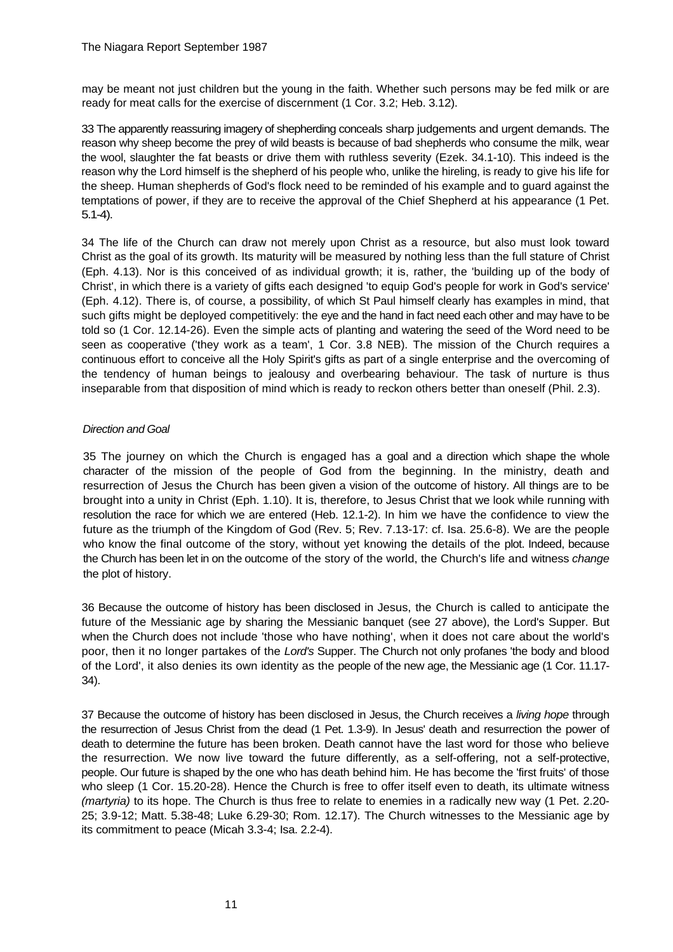may be meant not just children but the young in the faith. Whether such persons may be fed milk or are ready for meat calls for the exercise of discernment (1 Cor. 3.2; Heb. 3.12).

33 The apparently reassuring imagery of shepherding conceals sharp judgements and urgent demands. The reason why sheep become the prey of wild beasts is because of bad shepherds who consume the milk, wear the wool, slaughter the fat beasts or drive them with ruthless severity (Ezek. 34.1-10). This indeed is the reason why the Lord himself is the shepherd of his people who, unlike the hireling, is ready to give his life for the sheep. Human shepherds of God's flock need to be reminded of his example and to guard against the temptations of power, if they are to receive the approval of the Chief Shepherd at his appearance (1 Pet. 5.1-4).

34 The life of the Church can draw not merely upon Christ as a resource, but also must look toward Christ as the goal of its growth. Its maturity will be measured by nothing less than the full stature of Christ (Eph. 4.13). Nor is this conceived of as individual growth; it is, rather, the 'building up of the body of Christ', in which there is a variety of gifts each designed 'to equip God's people for work in God's service' (Eph. 4.12). There is, of course, a possibility, of which St Paul himself clearly has examples in mind, that such gifts might be deployed competitively: the eye and the hand in fact need each other and may have to be told so (1 Cor. 12.14-26). Even the simple acts of planting and watering the seed of the Word need to be seen as cooperative ('they work as a team', 1 Cor. 3.8 NEB). The mission of the Church requires a continuous effort to conceive all the Holy Spirit's gifts as part of a single enterprise and the overcoming of the tendency of human beings to jealousy and overbearing behaviour. The task of nurture is thus inseparable from that disposition of mind which is ready to reckon others better than oneself (Phil. 2.3).

## *Direction and Goal*

35 The journey on which the Church is engaged has a goal and a direction which shape the whole character of the mission of the people of God from the beginning. In the ministry, death and resurrection of Jesus the Church has been given a vision of the outcome of history. All things are to be brought into a unity in Christ (Eph. 1.10). It is, therefore, to Jesus Christ that we look while running with resolution the race for which we are entered (Heb. 12.1-2). In him we have the confidence to view the future as the triumph of the Kingdom of God (Rev. 5; Rev. 7.13-17: cf. Isa. 25.6-8). We are the people who know the final outcome of the story, without yet knowing the details of the plot. Indeed, because the Church has been let in on the outcome of the story of the world, the Church's life and witness *change*  the plot of history.

36 Because the outcome of history has been disclosed in Jesus, the Church is called to anticipate the future of the Messianic age by sharing the Messianic banquet (see 27 above), the Lord's Supper. But when the Church does not include 'those who have nothing', when it does not care about the world's poor, then it no longer partakes of the *Lord's* Supper. The Church not only profanes 'the body and blood of the Lord', it also denies its own identity as the people of the new age, the Messianic age (1 Cor. 11.17- 34).

37 Because the outcome of history has been disclosed in Jesus, the Church receives a *living hope* through the resurrection of Jesus Christ from the dead (1 Pet. 1.3-9). In Jesus' death and resurrection the power of death to determine the future has been broken. Death cannot have the last word for those who believe the resurrection. We now live toward the future differently, as a self-offering, not a self-protective, people. Our future is shaped by the one who has death behind him. He has become the 'first fruits' of those who sleep (1 Cor. 15.20-28). Hence the Church is free to offer itself even to death, its ultimate witness *(martyria)* to its hope. The Church is thus free to relate to enemies in a radically new way (1 Pet. 2.20- 25; 3.9-12; Matt. 5.38-48; Luke 6.29-30; Rom. 12.17). The Church witnesses to the Messianic age by its commitment to peace (Micah 3.3-4; Isa. 2.2-4).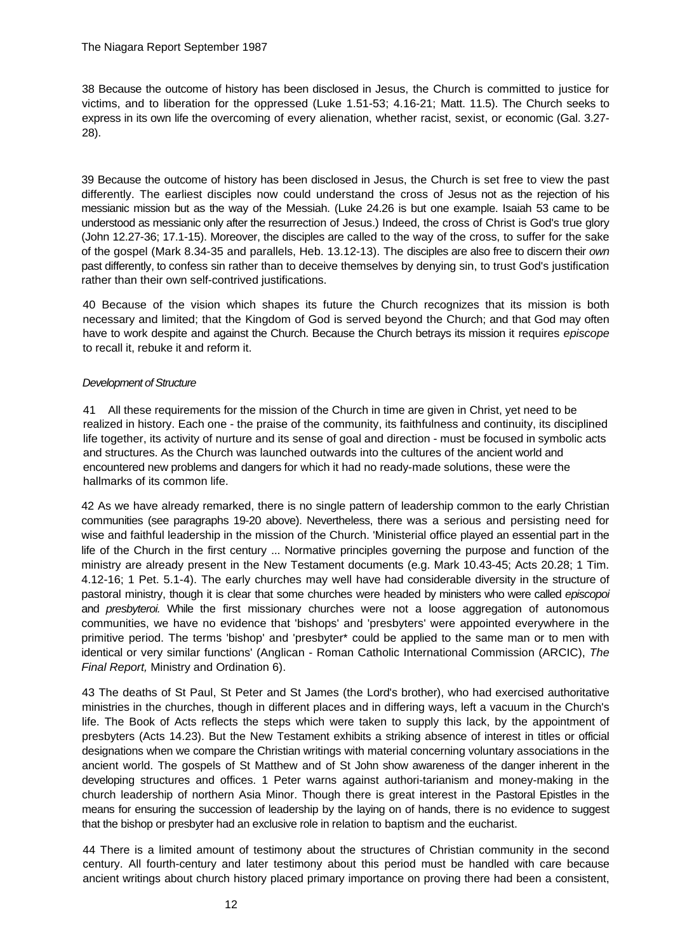38 Because the outcome of history has been disclosed in Jesus, the Church is committed to justice for victims, and to liberation for the oppressed (Luke 1.51-53; 4.16-21; Matt. 11.5). The Church seeks to express in its own life the overcoming of every alienation, whether racist, sexist, or economic (Gal. 3.27- 28).

39 Because the outcome of history has been disclosed in Jesus, the Church is set free to view the past differently. The earliest disciples now could understand the cross of Jesus not as the rejection of his messianic mission but as the way of the Messiah. (Luke 24.26 is but one example. Isaiah 53 came to be understood as messianic only after the resurrection of Jesus.) Indeed, the cross of Christ is God's true glory (John 12.27-36; 17.1-15). Moreover, the disciples are called to the way of the cross, to suffer for the sake of the gospel (Mark 8.34-35 and parallels, Heb. 13.12-13). The disciples are also free to discern their *own*  past differently, to confess sin rather than to deceive themselves by denying sin, to trust God's justification rather than their own self-contrived justifications.

40 Because of the vision which shapes its future the Church recognizes that its mission is both necessary and limited; that the Kingdom of God is served beyond the Church; and that God may often have to work despite and against the Church. Because the Church betrays its mission it requires *episcope*  to recall it, rebuke it and reform it.

## *Development of Structure*

41 All these requirements for the mission of the Church in time are given in Christ, yet need to be realized in history. Each one - the praise of the community, its faithfulness and continuity, its disciplined life together, its activity of nurture and its sense of goal and direction - must be focused in symbolic acts and structures. As the Church was launched outwards into the cultures of the ancient world and encountered new problems and dangers for which it had no ready-made solutions, these were the hallmarks of its common life.

42 As we have already remarked, there is no single pattern of leadership common to the early Christian communities (see paragraphs 19-20 above). Nevertheless, there was a serious and persisting need for wise and faithful leadership in the mission of the Church. 'Ministerial office played an essential part in the life of the Church in the first century ... Normative principles governing the purpose and function of the ministry are already present in the New Testament documents (e.g. Mark 10.43-45; Acts 20.28; 1 Tim. 4.12-16; 1 Pet. 5.1-4). The early churches may well have had considerable diversity in the structure of pastoral ministry, though it is clear that some churches were headed by ministers who were called *episcopoi*  and *presbyteroi.* While the first missionary churches were not a loose aggregation of autonomous communities, we have no evidence that 'bishops' and 'presbyters' were appointed everywhere in the primitive period. The terms 'bishop' and 'presbyter\* could be applied to the same man or to men with identical or very similar functions' (Anglican - Roman Catholic International Commission (ARCIC), *The Final Report,* Ministry and Ordination 6).

43 The deaths of St Paul, St Peter and St James (the Lord's brother), who had exercised authoritative ministries in the churches, though in different places and in differing ways, left a vacuum in the Church's life. The Book of Acts reflects the steps which were taken to supply this lack, by the appointment of presbyters (Acts 14.23). But the New Testament exhibits a striking absence of interest in titles or official designations when we compare the Christian writings with material concerning voluntary associations in the ancient world. The gospels of St Matthew and of St John show awareness of the danger inherent in the developing structures and offices. 1 Peter warns against authori-tarianism and money-making in the church leadership of northern Asia Minor. Though there is great interest in the Pastoral Epistles in the means for ensuring the succession of leadership by the laying on of hands, there is no evidence to suggest that the bishop or presbyter had an exclusive role in relation to baptism and the eucharist.

44 There is a limited amount of testimony about the structures of Christian community in the second century. All fourth-century and later testimony about this period must be handled with care because ancient writings about church history placed primary importance on proving there had been a consistent,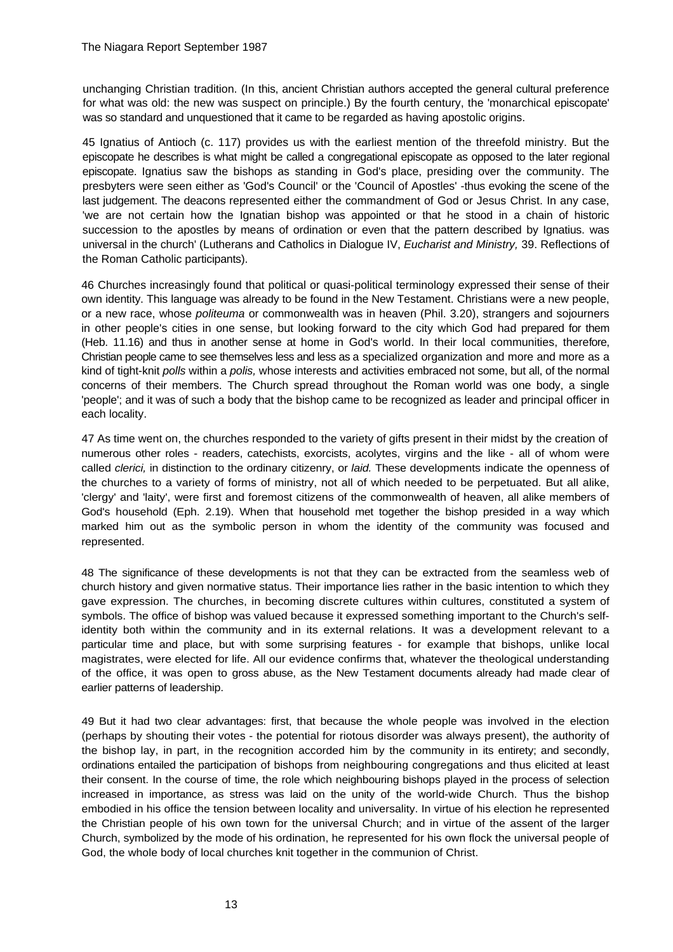unchanging Christian tradition. (In this, ancient Christian authors accepted the general cultural preference for what was old: the new was suspect on principle.) By the fourth century, the 'monarchical episcopate' was so standard and unquestioned that it came to be regarded as having apostolic origins.

45 Ignatius of Antioch (c. 117) provides us with the earliest mention of the threefold ministry. But the episcopate he describes is what might be called a congregational episcopate as opposed to the later regional episcopate. Ignatius saw the bishops as standing in God's place, presiding over the community. The presbyters were seen either as 'God's Council' or the 'Council of Apostles' -thus evoking the scene of the last judgement. The deacons represented either the commandment of God or Jesus Christ. In any case, 'we are not certain how the Ignatian bishop was appointed or that he stood in a chain of historic succession to the apostles by means of ordination or even that the pattern described by Ignatius. was universal in the church' (Lutherans and Catholics in Dialogue IV, *Eucharist and Ministry,* 39. Reflections of the Roman Catholic participants).

46 Churches increasingly found that political or quasi-political terminology expressed their sense of their own identity. This language was already to be found in the New Testament. Christians were a new people, or a new race, whose *politeuma* or commonwealth was in heaven (Phil. 3.20), strangers and sojourners in other people's cities in one sense, but looking forward to the city which God had prepared for them (Heb. 11.16) and thus in another sense at home in God's world. In their local communities, therefore, Christian people came to see themselves less and less as a specialized organization and more and more as a kind of tight-knit *polls* within a *polis,* whose interests and activities embraced not some, but all, of the normal concerns of their members. The Church spread throughout the Roman world was one body, a single 'people'; and it was of such a body that the bishop came to be recognized as leader and principal officer in each locality.

47 As time went on, the churches responded to the variety of gifts present in their midst by the creation of numerous other roles - readers, catechists, exorcists, acolytes, virgins and the like - all of whom were called *clerici,* in distinction to the ordinary citizenry, or *laid.* These developments indicate the openness of the churches to a variety of forms of ministry, not all of which needed to be perpetuated. But all alike, 'clergy' and 'laity', were first and foremost citizens of the commonwealth of heaven, all alike members of God's household (Eph. 2.19). When that household met together the bishop presided in a way which marked him out as the symbolic person in whom the identity of the community was focused and represented.

48 The significance of these developments is not that they can be extracted from the seamless web of church history and given normative status. Their importance lies rather in the basic intention to which they gave expression. The churches, in becoming discrete cultures within cultures, constituted a system of symbols. The office of bishop was valued because it expressed something important to the Church's selfidentity both within the community and in its external relations. It was a development relevant to a particular time and place, but with some surprising features - for example that bishops, unlike local magistrates, were elected for life. All our evidence confirms that, whatever the theological understanding of the office, it was open to gross abuse, as the New Testament documents already had made clear of earlier patterns of leadership.

49 But it had two clear advantages: first, that because the whole people was involved in the election (perhaps by shouting their votes - the potential for riotous disorder was always present), the authority of the bishop lay, in part, in the recognition accorded him by the community in its entirety; and secondly, ordinations entailed the participation of bishops from neighbouring congregations and thus elicited at least their consent. In the course of time, the role which neighbouring bishops played in the process of selection increased in importance, as stress was laid on the unity of the world-wide Church. Thus the bishop embodied in his office the tension between locality and universality. In virtue of his election he represented the Christian people of his own town for the universal Church; and in virtue of the assent of the larger Church, symbolized by the mode of his ordination, he represented for his own flock the universal people of God, the whole body of local churches knit together in the communion of Christ.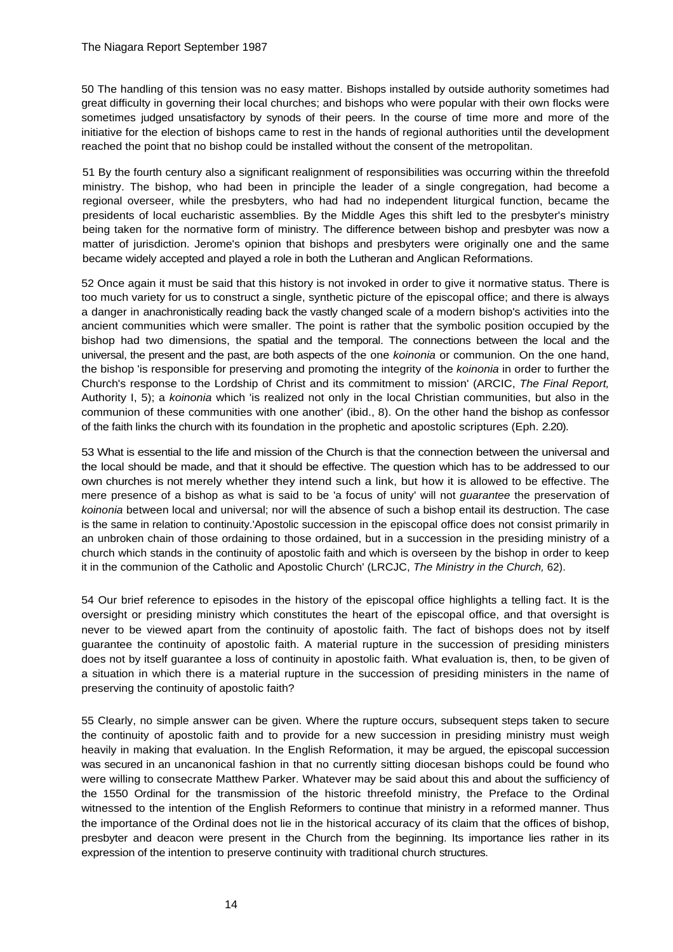50 The handling of this tension was no easy matter. Bishops installed by outside authority sometimes had great difficulty in governing their local churches; and bishops who were popular with their own flocks were sometimes judged unsatisfactory by synods of their peers. In the course of time more and more of the initiative for the election of bishops came to rest in the hands of regional authorities until the development reached the point that no bishop could be installed without the consent of the metropolitan.

51 By the fourth century also a significant realignment of responsibilities was occurring within the threefold ministry. The bishop, who had been in principle the leader of a single congregation, had become a regional overseer, while the presbyters, who had had no independent liturgical function, became the presidents of local eucharistic assemblies. By the Middle Ages this shift led to the presbyter's ministry being taken for the normative form of ministry. The difference between bishop and presbyter was now a matter of jurisdiction. Jerome's opinion that bishops and presbyters were originally one and the same became widely accepted and played a role in both the Lutheran and Anglican Reformations.

52 Once again it must be said that this history is not invoked in order to give it normative status. There is too much variety for us to construct a single, synthetic picture of the episcopal office; and there is always a danger in anachronistically reading back the vastly changed scale of a modern bishop's activities into the ancient communities which were smaller. The point is rather that the symbolic position occupied by the bishop had two dimensions, the spatial and the temporal. The connections between the local and the universal, the present and the past, are both aspects of the one *koinonia* or communion. On the one hand, the bishop 'is responsible for preserving and promoting the integrity of the *koinonia* in order to further the Church's response to the Lordship of Christ and its commitment to mission' (ARCIC, *The Final Report,*  Authority I, 5); a *koinonia* which 'is realized not only in the local Christian communities, but also in the communion of these communities with one another' (ibid., 8). On the other hand the bishop as confessor of the faith links the church with its foundation in the prophetic and apostolic scriptures (Eph. 2.20).

53 What is essential to the life and mission of the Church is that the connection between the universal and the local should be made, and that it should be effective. The question which has to be addressed to our own churches is not merely whether they intend such a link, but how it is allowed to be effective. The mere presence of a bishop as what is said to be 'a focus of unity' will not *guarantee* the preservation of *koinonia* between local and universal; nor will the absence of such a bishop entail its destruction. The case is the same in relation to continuity.'Apostolic succession in the episcopal office does not consist primarily in an unbroken chain of those ordaining to those ordained, but in a succession in the presiding ministry of a church which stands in the continuity of apostolic faith and which is overseen by the bishop in order to keep it in the communion of the Catholic and Apostolic Church' (LRCJC, *The Ministry in the Church,* 62).

54 Our brief reference to episodes in the history of the episcopal office highlights a telling fact. It is the oversight or presiding ministry which constitutes the heart of the episcopal office, and that oversight is never to be viewed apart from the continuity of apostolic faith. The fact of bishops does not by itself guarantee the continuity of apostolic faith. A material rupture in the succession of presiding ministers does not by itself guarantee a loss of continuity in apostolic faith. What evaluation is, then, to be given of a situation in which there is a material rupture in the succession of presiding ministers in the name of preserving the continuity of apostolic faith?

55 Clearly, no simple answer can be given. Where the rupture occurs, subsequent steps taken to secure the continuity of apostolic faith and to provide for a new succession in presiding ministry must weigh heavily in making that evaluation. In the English Reformation, it may be argued, the episcopal succession was secured in an uncanonical fashion in that no currently sitting diocesan bishops could be found who were willing to consecrate Matthew Parker. Whatever may be said about this and about the sufficiency of the 1550 Ordinal for the transmission of the historic threefold ministry, the Preface to the Ordinal witnessed to the intention of the English Reformers to continue that ministry in a reformed manner. Thus the importance of the Ordinal does not lie in the historical accuracy of its claim that the offices of bishop, presbyter and deacon were present in the Church from the beginning. Its importance lies rather in its expression of the intention to preserve continuity with traditional church structures.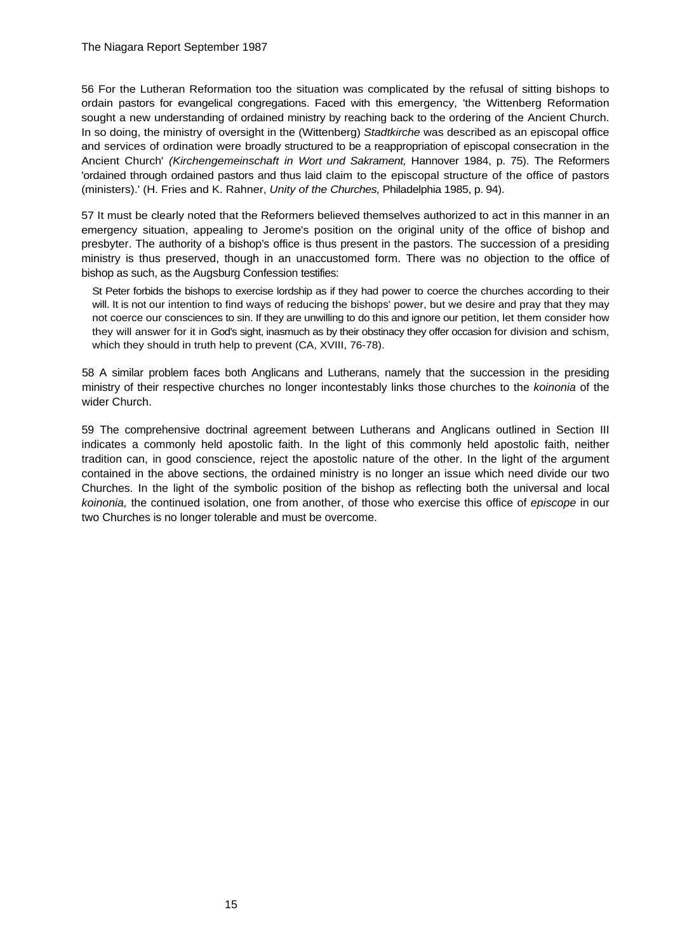56 For the Lutheran Reformation too the situation was complicated by the refusal of sitting bishops to ordain pastors for evangelical congregations. Faced with this emergency, 'the Wittenberg Reformation sought a new understanding of ordained ministry by reaching back to the ordering of the Ancient Church. In so doing, the ministry of oversight in the (Wittenberg) *Stadtkirche* was described as an episcopal office and services of ordination were broadly structured to be a reappropriation of episcopal consecration in the Ancient Church' *(Kirchengemeinschaft in Wort und Sakrament,* Hannover 1984, p. 75). The Reformers 'ordained through ordained pastors and thus laid claim to the episcopal structure of the office of pastors (ministers).' (H. Fries and K. Rahner, *Unity of the Churches,* Philadelphia 1985, p. 94).

57 It must be clearly noted that the Reformers believed themselves authorized to act in this manner in an emergency situation, appealing to Jerome's position on the original unity of the office of bishop and presbyter. The authority of a bishop's office is thus present in the pastors. The succession of a presiding ministry is thus preserved, though in an unaccustomed form. There was no objection to the office of bishop as such, as the Augsburg Confession testifies:

St Peter forbids the bishops to exercise lordship as if they had power to coerce the churches according to their will. It is not our intention to find ways of reducing the bishops' power, but we desire and pray that they may not coerce our consciences to sin. If they are unwilling to do this and ignore our petition, let them consider how they will answer for it in God's sight, inasmuch as by their obstinacy they offer occasion for division and schism, which they should in truth help to prevent (CA, XVIII, 76-78).

58 A similar problem faces both Anglicans and Lutherans, namely that the succession in the presiding ministry of their respective churches no longer incontestably links those churches to the *koinonia* of the wider Church.

59 The comprehensive doctrinal agreement between Lutherans and Anglicans outlined in Section III indicates a commonly held apostolic faith. In the light of this commonly held apostolic faith, neither tradition can, in good conscience, reject the apostolic nature of the other. In the light of the argument contained in the above sections, the ordained ministry is no longer an issue which need divide our two Churches. In the light of the symbolic position of the bishop as reflecting both the universal and local *koinonia,* the continued isolation, one from another, of those who exercise this office of *episcope* in our two Churches is no longer tolerable and must be overcome.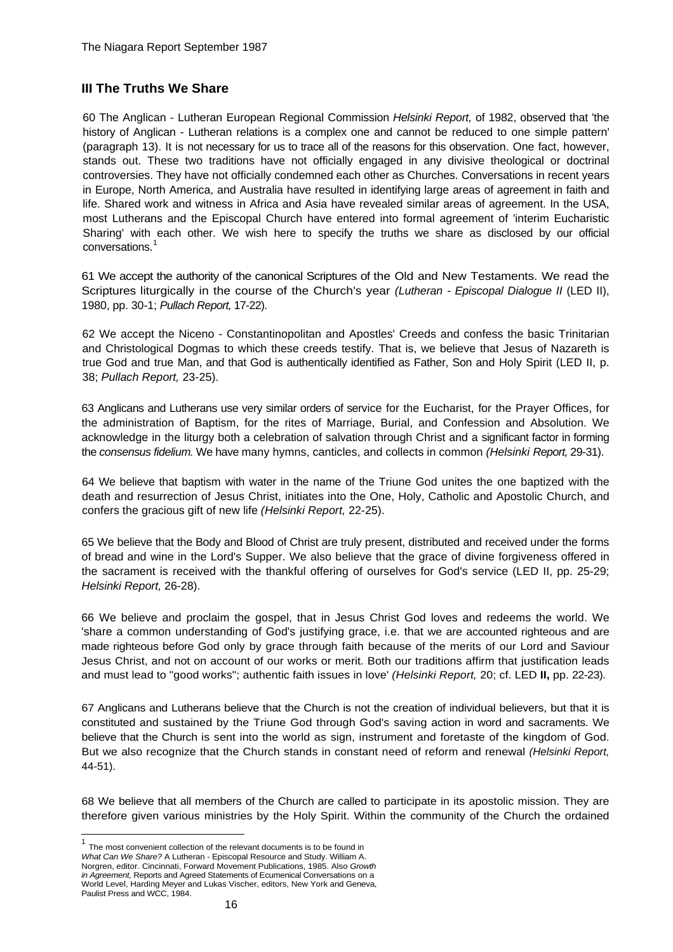## **III The Truths We Share**

60 The Anglican - Lutheran European Regional Commission *Helsinki Report,* of 1982, observed that 'the history of Anglican - Lutheran relations is a complex one and cannot be reduced to one simple pattern' (paragraph 13). It is not necessary for us to trace all of the reasons for this observation. One fact, however, stands out. These two traditions have not officially engaged in any divisive theological or doctrinal controversies. They have not officially condemned each other as Churches. Conversations in recent years in Europe, North America, and Australia have resulted in identifying large areas of agreement in faith and life. Shared work and witness in Africa and Asia have revealed similar areas of agreement. In the USA, most Lutherans and the Episcopal Church have entered into formal agreement of 'interim Eucharistic Sharing' with each other. We wish here to specify the truths we share as disclosed by our official conversations.<sup>[1](#page-15-0)</sup>

61 We accept the authority of the canonical Scriptures of the Old and New Testaments. We read the Scriptures liturgically in the course of the Church's year *(Lutheran - Episcopal Dialogue II* (LED II), 1980, pp. 30-1; *Pullach Report,* 17-22).

62 We accept the Niceno - Constantinopolitan and Apostles' Creeds and confess the basic Trinitarian and Christological Dogmas to which these creeds testify. That is, we believe that Jesus of Nazareth is true God and true Man, and that God is authentically identified as Father, Son and Holy Spirit (LED II, p. 38; *Pullach Report,* 23-25).

63 Anglicans and Lutherans use very similar orders of service for the Eucharist, for the Prayer Offices, for the administration of Baptism, for the rites of Marriage, Burial, and Confession and Absolution. We acknowledge in the liturgy both a celebration of salvation through Christ and a significant factor in forming the *consensus fidelium.* We have many hymns, canticles, and collects in common *(Helsinki Report,* 29-31).

64 We believe that baptism with water in the name of the Triune God unites the one baptized with the death and resurrection of Jesus Christ, initiates into the One, Holy, Catholic and Apostolic Church, and confers the gracious gift of new life *(Helsinki Report,* 22-25).

65 We believe that the Body and Blood of Christ are truly present, distributed and received under the forms of bread and wine in the Lord's Supper. We also believe that the grace of divine forgiveness offered in the sacrament is received with the thankful offering of ourselves for God's service (LED II, pp. 25-29; *Helsinki Report,* 26-28).

66 We believe and proclaim the gospel, that in Jesus Christ God loves and redeems the world. We 'share a common understanding of God's justifying grace, i.e. that we are accounted righteous and are made righteous before God only by grace through faith because of the merits of our Lord and Saviour Jesus Christ, and not on account of our works or merit. Both our traditions affirm that justification leads and must lead to "good works"; authentic faith issues in love' *(Helsinki Report,* 20; cf. LED **II,** pp. 22-23).

67 Anglicans and Lutherans believe that the Church is not the creation of individual believers, but that it is constituted and sustained by the Triune God through God's saving action in word and sacraments. We believe that the Church is sent into the world as sign, instrument and foretaste of the kingdom of God. But we also recognize that the Church stands in constant need of reform and renewal *(Helsinki Report,*  44-51).

68 We believe that all members of the Church are called to participate in its apostolic mission. They are therefore given various ministries by the Holy Spirit. Within the community of the Church the ordained

l

<span id="page-15-0"></span><sup>&</sup>lt;sup>1</sup> The most convenient collection of the relevant documents is to be found in *What Can We Share?* A Lutheran - Episcopal Resource and Study. William A. Norgren, editor. Cincinnati, Forward Movement Publications, 1985. Also *Growth in Agreement,* Reports and Agreed Statements of Ecumenical Conversations on a World Level, Harding Meyer and Lukas Vischer, editors, New York and Geneva, Paulist Press and WCC, 1984.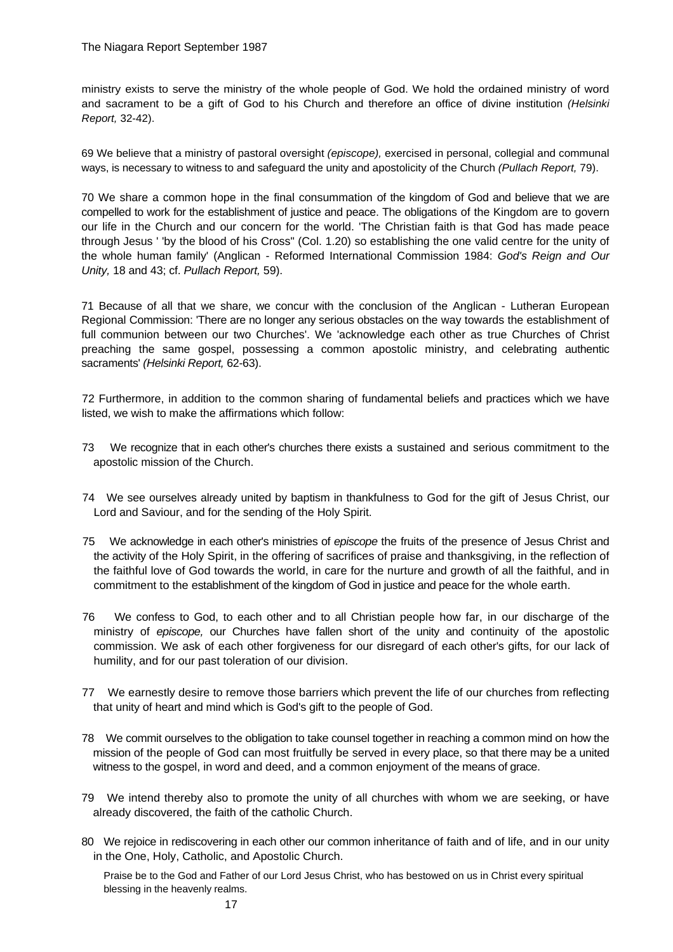ministry exists to serve the ministry of the whole people of God. We hold the ordained ministry of word and sacrament to be a gift of God to his Church and therefore an office of divine institution *(Helsinki Report,* 32-42).

69 We believe that a ministry of pastoral oversight *(episcope),* exercised in personal, collegial and communal ways, is necessary to witness to and safeguard the unity and apostolicity of the Church *(Pullach Report,* 79).

70 We share a common hope in the final consummation of the kingdom of God and believe that we are compelled to work for the establishment of justice and peace. The obligations of the Kingdom are to govern our life in the Church and our concern for the world. 'The Christian faith is that God has made peace through Jesus ' 'by the blood of his Cross" (Col. 1.20) so establishing the one valid centre for the unity of the whole human family' (Anglican - Reformed International Commission 1984: *God's Reign and Our Unity,* 18 and 43; cf. *Pullach Report,* 59).

71 Because of all that we share, we concur with the conclusion of the Anglican - Lutheran European Regional Commission: 'There are no longer any serious obstacles on the way towards the establishment of full communion between our two Churches'. We 'acknowledge each other as true Churches of Christ preaching the same gospel, possessing a common apostolic ministry, and celebrating authentic sacraments' *(Helsinki Report,* 62-63).

72 Furthermore, in addition to the common sharing of fundamental beliefs and practices which we have listed, we wish to make the affirmations which follow:

- 73 We recognize that in each other's churches there exists a sustained and serious commitment to the apostolic mission of the Church.
- 74 We see ourselves already united by baptism in thankfulness to God for the gift of Jesus Christ, our Lord and Saviour, and for the sending of the Holy Spirit.
- 75 We acknowledge in each other's ministries of *episcope* the fruits of the presence of Jesus Christ and the activity of the Holy Spirit, in the offering of sacrifices of praise and thanksgiving, in the reflection of the faithful love of God towards the world, in care for the nurture and growth of all the faithful, and in commitment to the establishment of the kingdom of God in justice and peace for the whole earth.
- 76 We confess to God, to each other and to all Christian people how far, in our discharge of the ministry of *episcope,* our Churches have fallen short of the unity and continuity of the apostolic commission. We ask of each other forgiveness for our disregard of each other's gifts, for our lack of humility, and for our past toleration of our division.
- 77 We earnestly desire to remove those barriers which prevent the life of our churches from reflecting that unity of heart and mind which is God's gift to the people of God.
- 78 We commit ourselves to the obligation to take counsel together in reaching a common mind on how the mission of the people of God can most fruitfully be served in every place, so that there may be a united witness to the gospel, in word and deed, and a common enjoyment of the means of grace.
- 79 We intend thereby also to promote the unity of all churches with whom we are seeking, or have already discovered, the faith of the catholic Church.
- 80 We rejoice in rediscovering in each other our common inheritance of faith and of life, and in our unity in the One, Holy, Catholic, and Apostolic Church.

Praise be to the God and Father of our Lord Jesus Christ, who has bestowed on us in Christ every spiritual blessing in the heavenly realms.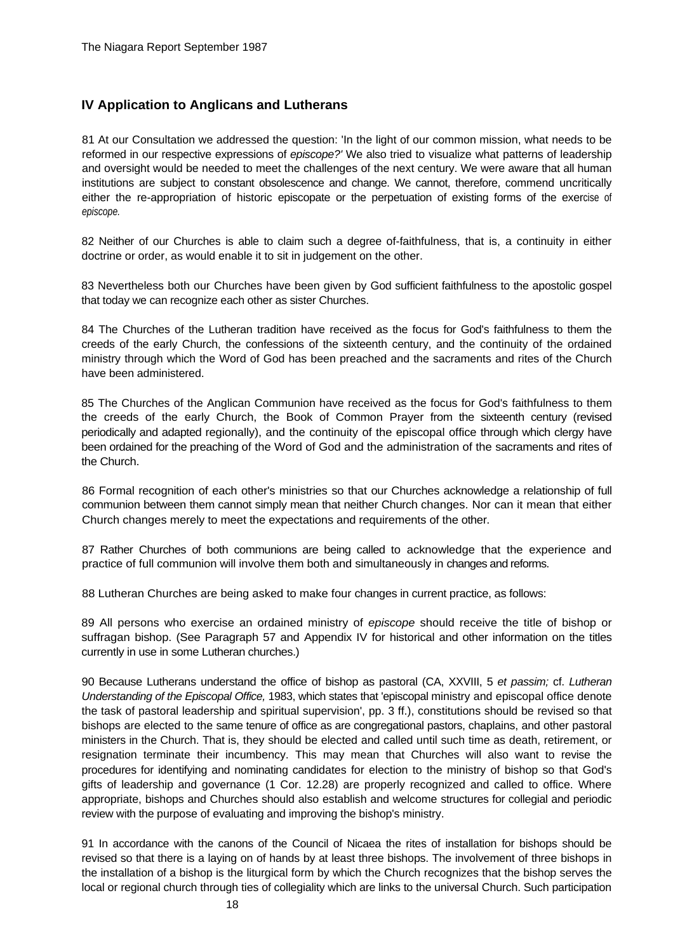## **IV Application to Anglicans and Lutherans**

81 At our Consultation we addressed the question: 'In the light of our common mission, what needs to be reformed in our respective expressions of *episcope?'* We also tried to visualize what patterns of leadership and oversight would be needed to meet the challenges of the next century. We were aware that all human institutions are subject to constant obsolescence and change. We cannot, therefore, commend uncritically either the re-appropriation of historic episcopate or the perpetuation of existing forms of the exercise of *episcope.*

82 Neither of our Churches is able to claim such a degree of-faithfulness, that is, a continuity in either doctrine or order, as would enable it to sit in judgement on the other.

83 Nevertheless both our Churches have been given by God sufficient faithfulness to the apostolic gospel that today we can recognize each other as sister Churches.

84 The Churches of the Lutheran tradition have received as the focus for God's faithfulness to them the creeds of the early Church, the confessions of the sixteenth century, and the continuity of the ordained ministry through which the Word of God has been preached and the sacraments and rites of the Church have been administered.

85 The Churches of the Anglican Communion have received as the focus for God's faithfulness to them the creeds of the early Church, the Book of Common Prayer from the sixteenth century (revised periodically and adapted regionally), and the continuity of the episcopal office through which clergy have been ordained for the preaching of the Word of God and the administration of the sacraments and rites of the Church.

86 Formal recognition of each other's ministries so that our Churches acknowledge a relationship of full communion between them cannot simply mean that neither Church changes. Nor can it mean that either Church changes merely to meet the expectations and requirements of the other.

87 Rather Churches of both communions are being called to acknowledge that the experience and practice of full communion will involve them both and simultaneously in changes and reforms.

88 Lutheran Churches are being asked to make four changes in current practice, as follows:

89 All persons who exercise an ordained ministry of *episcope* should receive the title of bishop or suffragan bishop. (See Paragraph 57 and Appendix IV for historical and other information on the titles currently in use in some Lutheran churches.)

90 Because Lutherans understand the office of bishop as pastoral (CA, XXVIII, 5 *et passim;* cf. *Lutheran Understanding of the Episcopal Office,* 1983, which states that 'episcopal ministry and episcopal office denote the task of pastoral leadership and spiritual supervision', pp. 3 ff.), constitutions should be revised so that bishops are elected to the same tenure of office as are congregational pastors, chaplains, and other pastoral ministers in the Church. That is, they should be elected and called until such time as death, retirement, or resignation terminate their incumbency. This may mean that Churches will also want to revise the procedures for identifying and nominating candidates for election to the ministry of bishop so that God's gifts of leadership and governance (1 Cor. 12.28) are properly recognized and called to office. Where appropriate, bishops and Churches should also establish and welcome structures for collegial and periodic review with the purpose of evaluating and improving the bishop's ministry.

91 In accordance with the canons of the Council of Nicaea the rites of installation for bishops should be revised so that there is a laying on of hands by at least three bishops. The involvement of three bishops in the installation of a bishop is the liturgical form by which the Church recognizes that the bishop serves the local or regional church through ties of collegiality which are links to the universal Church. Such participation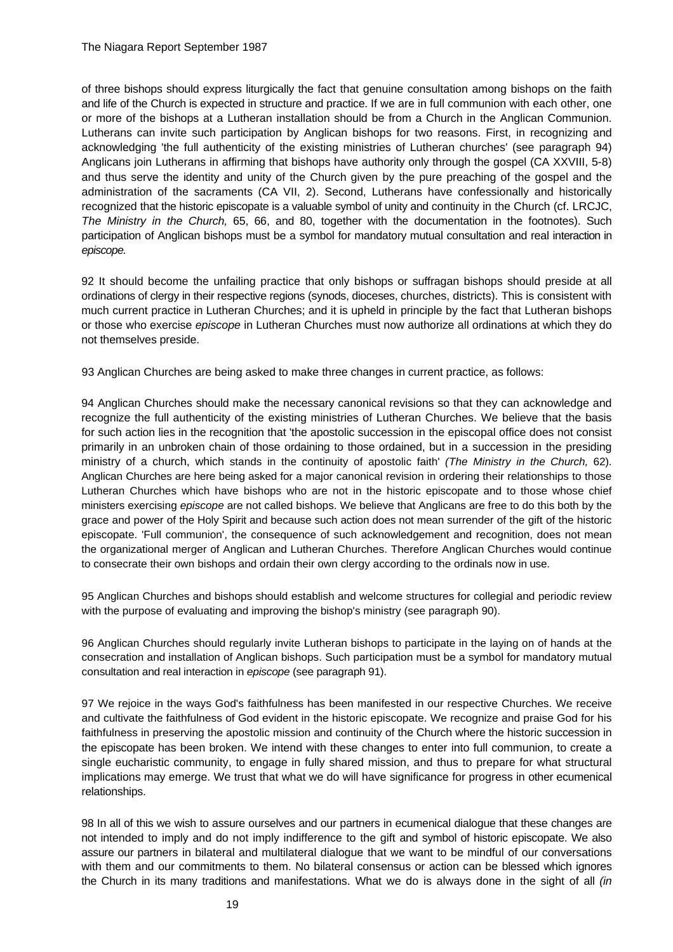of three bishops should express liturgically the fact that genuine consultation among bishops on the faith and life of the Church is expected in structure and practice. If we are in full communion with each other, one or more of the bishops at a Lutheran installation should be from a Church in the Anglican Communion. Lutherans can invite such participation by Anglican bishops for two reasons. First, in recognizing and acknowledging 'the full authenticity of the existing ministries of Lutheran churches' (see paragraph 94) Anglicans join Lutherans in affirming that bishops have authority only through the gospel (CA XXVIII, 5-8) and thus serve the identity and unity of the Church given by the pure preaching of the gospel and the administration of the sacraments (CA VII, 2). Second, Lutherans have confessionally and historically recognized that the historic episcopate is a valuable symbol of unity and continuity in the Church (cf. LRCJC, *The Ministry in the Church,* 65, 66, and 80, together with the documentation in the footnotes). Such participation of Anglican bishops must be a symbol for mandatory mutual consultation and real interaction in *episcope.*

92 It should become the unfailing practice that only bishops or suffragan bishops should preside at all ordinations of clergy in their respective regions (synods, dioceses, churches, districts). This is consistent with much current practice in Lutheran Churches; and it is upheld in principle by the fact that Lutheran bishops or those who exercise *episcope* in Lutheran Churches must now authorize all ordinations at which they do not themselves preside.

93 Anglican Churches are being asked to make three changes in current practice, as follows:

94 Anglican Churches should make the necessary canonical revisions so that they can acknowledge and recognize the full authenticity of the existing ministries of Lutheran Churches. We believe that the basis for such action lies in the recognition that 'the apostolic succession in the episcopal office does not consist primarily in an unbroken chain of those ordaining to those ordained, but in a succession in the presiding ministry of a church, which stands in the continuity of apostolic faith' *(The Ministry in the Church,* 62). Anglican Churches are here being asked for a major canonical revision in ordering their relationships to those Lutheran Churches which have bishops who are not in the historic episcopate and to those whose chief ministers exercising *episcope* are not called bishops. We believe that Anglicans are free to do this both by the grace and power of the Holy Spirit and because such action does not mean surrender of the gift of the historic episcopate. 'Full communion', the consequence of such acknowledgement and recognition, does not mean the organizational merger of Anglican and Lutheran Churches. Therefore Anglican Churches would continue to consecrate their own bishops and ordain their own clergy according to the ordinals now in use.

95 Anglican Churches and bishops should establish and welcome structures for collegial and periodic review with the purpose of evaluating and improving the bishop's ministry (see paragraph 90).

96 Anglican Churches should regularly invite Lutheran bishops to participate in the laying on of hands at the consecration and installation of Anglican bishops. Such participation must be a symbol for mandatory mutual consultation and real interaction in *episcope* (see paragraph 91).

97 We rejoice in the ways God's faithfulness has been manifested in our respective Churches. We receive and cultivate the faithfulness of God evident in the historic episcopate. We recognize and praise God for his faithfulness in preserving the apostolic mission and continuity of the Church where the historic succession in the episcopate has been broken. We intend with these changes to enter into full communion, to create a single eucharistic community, to engage in fully shared mission, and thus to prepare for what structural implications may emerge. We trust that what we do will have significance for progress in other ecumenical relationships.

98 In all of this we wish to assure ourselves and our partners in ecumenical dialogue that these changes are not intended to imply and do not imply indifference to the gift and symbol of historic episcopate. We also assure our partners in bilateral and multilateral dialogue that we want to be mindful of our conversations with them and our commitments to them. No bilateral consensus or action can be blessed which ignores the Church in its many traditions and manifestations. What we do is always done in the sight of all *(in*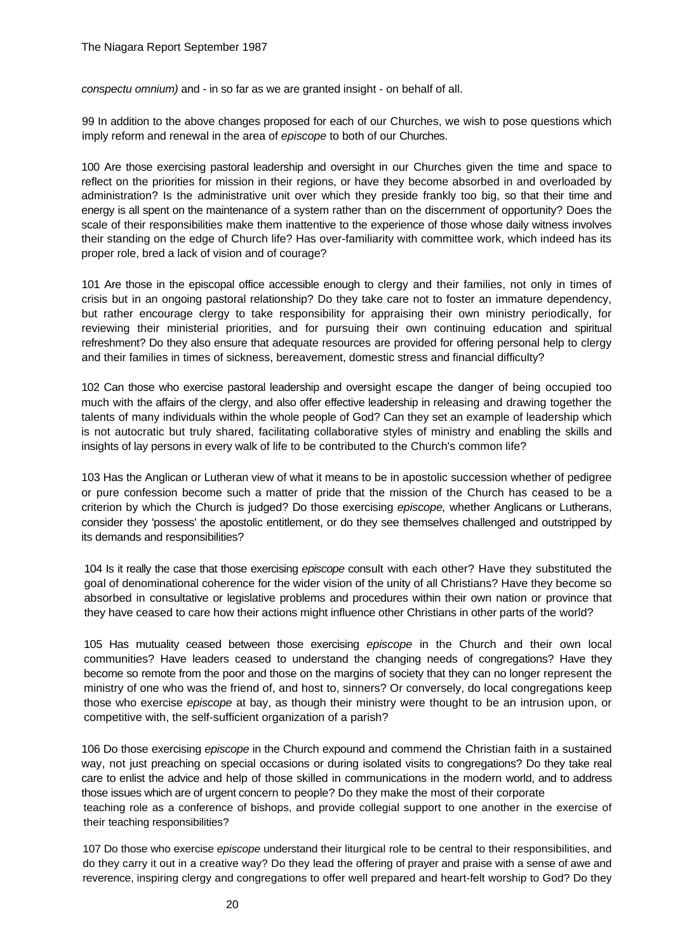*conspectu omnium)* and - in so far as we are granted insight - on behalf of all.

99 In addition to the above changes proposed for each of our Churches, we wish to pose questions which imply reform and renewal in the area of *episcope* to both of our Churches.

100 Are those exercising pastoral leadership and oversight in our Churches given the time and space to reflect on the priorities for mission in their regions, or have they become absorbed in and overloaded by administration? Is the administrative unit over which they preside frankly too big, so that their time and energy is all spent on the maintenance of a system rather than on the discernment of opportunity? Does the scale of their responsibilities make them inattentive to the experience of those whose daily witness involves their standing on the edge of Church life? Has over-familiarity with committee work, which indeed has its proper role, bred a lack of vision and of courage?

101 Are those in the episcopal office accessible enough to clergy and their families, not only in times of crisis but in an ongoing pastoral relationship? Do they take care not to foster an immature dependency, but rather encourage clergy to take responsibility for appraising their own ministry periodically, for reviewing their ministerial priorities, and for pursuing their own continuing education and spiritual refreshment? Do they also ensure that adequate resources are provided for offering personal help to clergy and their families in times of sickness, bereavement, domestic stress and financial difficulty?

102 Can those who exercise pastoral leadership and oversight escape the danger of being occupied too much with the affairs of the clergy, and also offer effective leadership in releasing and drawing together the talents of many individuals within the whole people of God? Can they set an example of leadership which is not autocratic but truly shared, facilitating collaborative styles of ministry and enabling the skills and insights of lay persons in every walk of life to be contributed to the Church's common life?

103 Has the Anglican or Lutheran view of what it means to be in apostolic succession whether of pedigree or pure confession become such a matter of pride that the mission of the Church has ceased to be a criterion by which the Church is judged? Do those exercising *episcope,* whether Anglicans or Lutherans, consider they 'possess' the apostolic entitlement, or do they see themselves challenged and outstripped by its demands and responsibilities?

104 Is it really the case that those exercising *episcope* consult with each other? Have they substituted the goal of denominational coherence for the wider vision of the unity of all Christians? Have they become so absorbed in consultative or legislative problems and procedures within their own nation or province that they have ceased to care how their actions might influence other Christians in other parts of the world?

105 Has mutuality ceased between those exercising *episcope* in the Church and their own local communities? Have leaders ceased to understand the changing needs of congregations? Have they become so remote from the poor and those on the margins of society that they can no longer represent the ministry of one who was the friend of, and host to, sinners? Or conversely, do local congregations keep those who exercise *episcope* at bay, as though their ministry were thought to be an intrusion upon, or competitive with, the self-sufficient organization of a parish?

106 Do those exercising *episcope* in the Church expound and commend the Christian faith in a sustained way, not just preaching on special occasions or during isolated visits to congregations? Do they take real care to enlist the advice and help of those skilled in communications in the modern world, and to address those issues which are of urgent concern to people? Do they make the most of their corporate teaching role as a conference of bishops, and provide collegial support to one another in the exercise of their teaching responsibilities?

107 Do those who exercise *episcope* understand their liturgical role to be central to their responsibilities, and do they carry it out in a creative way? Do they lead the offering of prayer and praise with a sense of awe and reverence, inspiring clergy and congregations to offer well prepared and heart-felt worship to God? Do they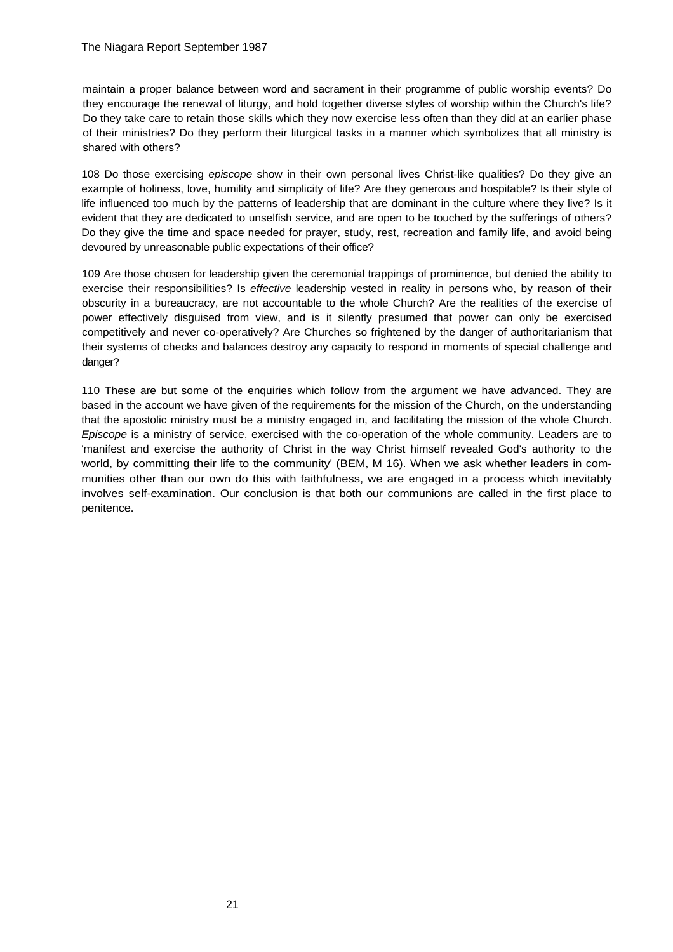maintain a proper balance between word and sacrament in their programme of public worship events? Do they encourage the renewal of liturgy, and hold together diverse styles of worship within the Church's life? Do they take care to retain those skills which they now exercise less often than they did at an earlier phase of their ministries? Do they perform their liturgical tasks in a manner which symbolizes that all ministry is shared with others?

108 Do those exercising *episcope* show in their own personal lives Christ-like qualities? Do they give an example of holiness, love, humility and simplicity of life? Are they generous and hospitable? Is their style of life influenced too much by the patterns of leadership that are dominant in the culture where they live? Is it evident that they are dedicated to unselfish service, and are open to be touched by the sufferings of others? Do they give the time and space needed for prayer, study, rest, recreation and family life, and avoid being devoured by unreasonable public expectations of their office?

109 Are those chosen for leadership given the ceremonial trappings of prominence, but denied the ability to exercise their responsibilities? Is *effective* leadership vested in reality in persons who, by reason of their obscurity in a bureaucracy, are not accountable to the whole Church? Are the realities of the exercise of power effectively disguised from view, and is it silently presumed that power can only be exercised competitively and never co-operatively? Are Churches so frightened by the danger of authoritarianism that their systems of checks and balances destroy any capacity to respond in moments of special challenge and danger?

110 These are but some of the enquiries which follow from the argument we have advanced. They are based in the account we have given of the requirements for the mission of the Church, on the understanding that the apostolic ministry must be a ministry engaged in, and facilitating the mission of the whole Church. *Episcope* is a ministry of service, exercised with the co-operation of the whole community. Leaders are to 'manifest and exercise the authority of Christ in the way Christ himself revealed God's authority to the world, by committing their life to the community' (BEM, M 16). When we ask whether leaders in communities other than our own do this with faithfulness, we are engaged in a process which inevitably involves self-examination. Our conclusion is that both our communions are called in the first place to penitence.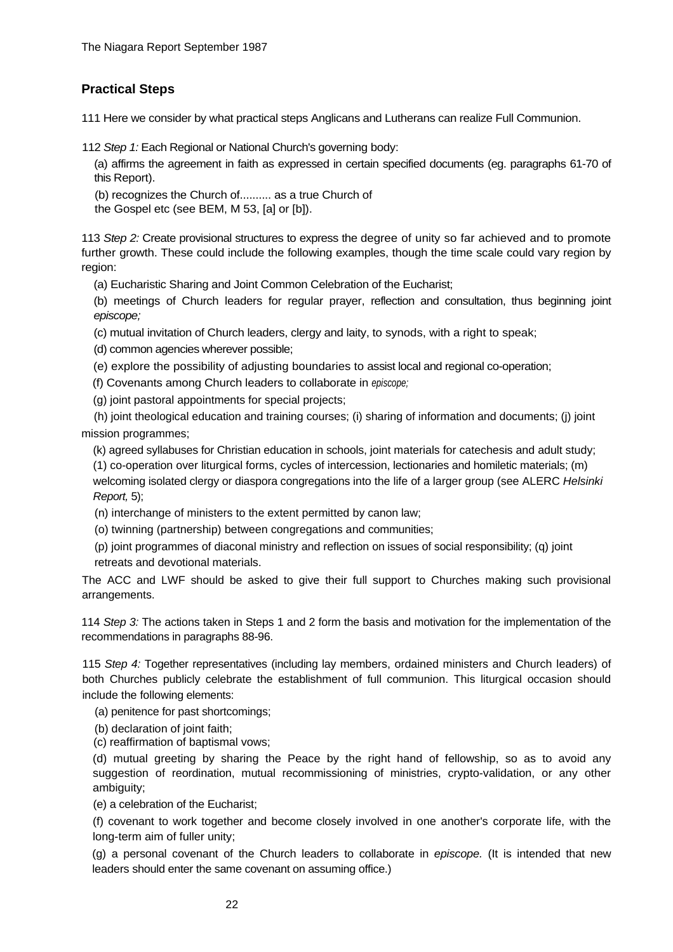## **Practical Steps**

111 Here we consider by what practical steps Anglicans and Lutherans can realize Full Communion.

112 *Step 1:* Each Regional or National Church's governing body:

(a) affirms the agreement in faith as expressed in certain specified documents (eg. paragraphs 61-70 of this Report).

(b) recognizes the Church of.......... as a true Church of

the Gospel etc (see BEM, M 53, [a] or [b]).

113 *Step 2:* Create provisional structures to express the degree of unity so far achieved and to promote further growth. These could include the following examples, though the time scale could vary region by region:

(a) Eucharistic Sharing and Joint Common Celebration of the Eucharist;

(b) meetings of Church leaders for regular prayer, reflection and consultation, thus beginning joint *episcope;*

(c) mutual invitation of Church leaders, clergy and laity, to synods, with a right to speak;

(d) common agencies wherever possible;

(e) explore the possibility of adjusting boundaries to assist local and regional co-operation;

(f) Covenants among Church leaders to collaborate in *episcope;*

(g) joint pastoral appointments for special projects;

 (h) joint theological education and training courses; (i) sharing of information and documents; (j) joint mission programmes;

(k) agreed syllabuses for Christian education in schools, joint materials for catechesis and adult study;

(1) co-operation over liturgical forms, cycles of intercession, lectionaries and homiletic materials; (m) welcoming isolated clergy or diaspora congregations into the life of a larger group (see ALERC *Helsinki Report,* 5);

(n) interchange of ministers to the extent permitted by canon law;

(o) twinning (partnership) between congregations and communities;

(p) joint programmes of diaconal ministry and reflection on issues of social responsibility; (q) joint retreats and devotional materials.

The ACC and LWF should be asked to give their full support to Churches making such provisional arrangements.

114 *Step 3:* The actions taken in Steps 1 and 2 form the basis and motivation for the implementation of the recommendations in paragraphs 88-96.

115 *Step 4:* Together representatives (including lay members, ordained ministers and Church leaders) of both Churches publicly celebrate the establishment of full communion. This liturgical occasion should include the following elements:

(a) penitence for past shortcomings;

(b) declaration of joint faith;

(c) reaffirmation of baptismal vows;

(d) mutual greeting by sharing the Peace by the right hand of fellowship, so as to avoid any suggestion of reordination, mutual recommissioning of ministries, crypto-validation, or any other ambiguity;

(e) a celebration of the Eucharist;

(f) covenant to work together and become closely involved in one another's corporate life, with the long-term aim of fuller unity;

(g) a personal covenant of the Church leaders to collaborate in *episcope.* (It is intended that new leaders should enter the same covenant on assuming office.)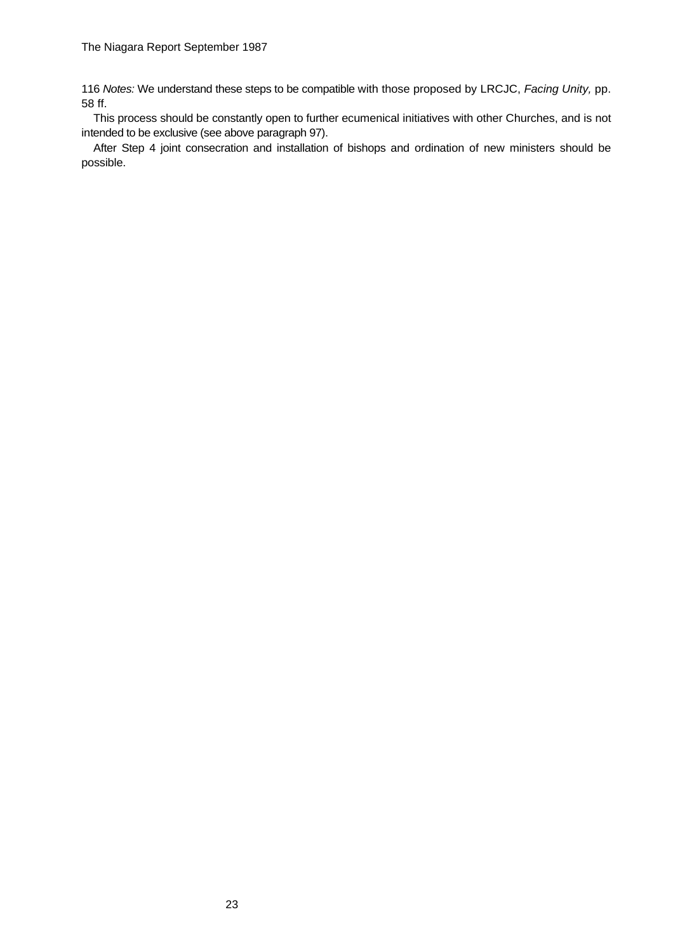116 *Notes:* We understand these steps to be compatible with those proposed by LRCJC, *Facing Unity,* pp. 58 ff.

This process should be constantly open to further ecumenical initiatives with other Churches, and is not intended to be exclusive (see above paragraph 97).

After Step 4 joint consecration and installation of bishops and ordination of new ministers should be possible.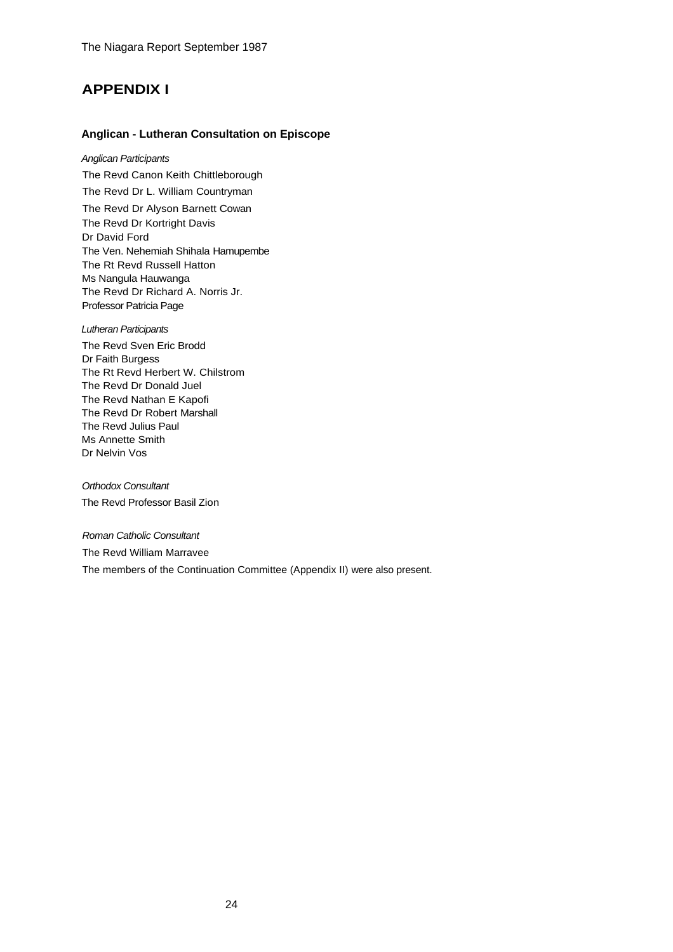# **APPENDIX I**

### **Anglican - Lutheran Consultation on Episcope**

*Anglican Participants* The Revd Canon Keith Chittleborough

The Revd Dr L. William Countryman

The Revd Dr Alyson Barnett Cowan The Revd Dr Kortright Davis Dr David Ford The Ven. Nehemiah Shihala Hamupembe The Rt Revd Russell Hatton Ms Nangula Hauwanga The Revd Dr Richard A. Norris Jr. Professor Patricia Page

*Lutheran Participants*

The Revd Sven Eric Brodd Dr Faith Burgess The Rt Revd Herbert W. Chilstrom The Revd Dr Donald Juel The Revd Nathan E Kapofi The Revd Dr Robert Marshall The Revd Julius Paul Ms Annette Smith Dr Nelvin Vos

*Orthodox Consultant* The Revd Professor Basil Zion

*Roman Catholic Consultant*  The Revd William Marravee The members of the Continuation Committee (Appendix II) were also present.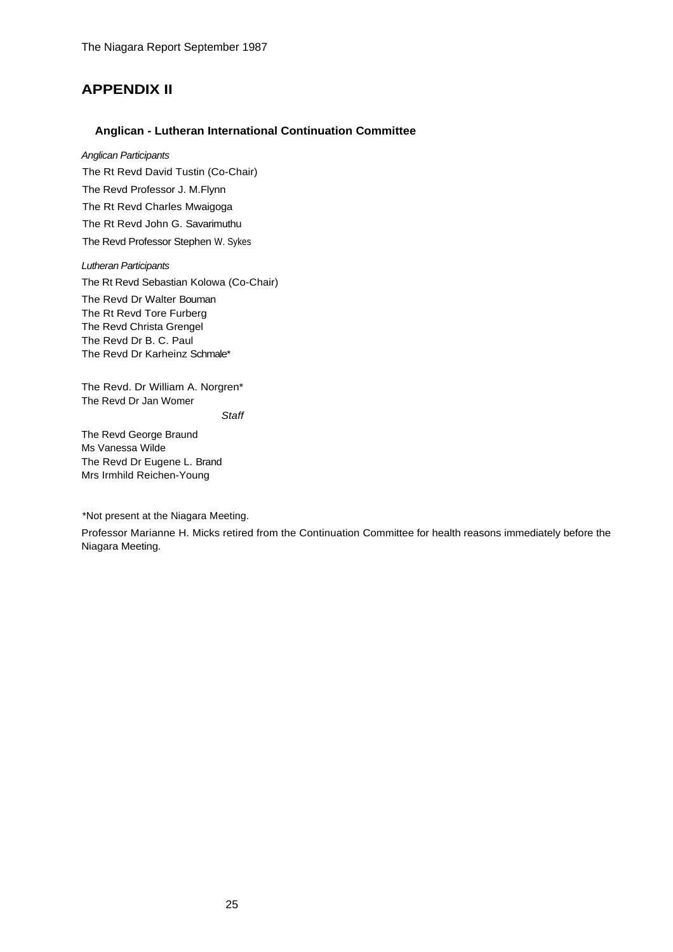## **APPENDIX II**

### **Anglican - Lutheran International Continuation Committee**

*Anglican Participants* The Rt Revd David Tustin (Co-Chair) The Revd Professor J. M.Flynn The Rt Revd Charles Mwaigoga The Rt Revd John G. Savarimuthu The Revd Professor Stephen W. Sykes

*Lutheran Participants* The Rt Revd Sebastian Kolowa (Co-Chair) The Revd Dr Walter Bouman The Rt Revd Tore Furberg The Revd Christa Grengel The Revd Dr B. C. Paul The Revd Dr Karheinz Schmale\*

The Revd. Dr William A. Norgren\* The Revd Dr Jan Womer

*Staff*

The Revd George Braund Ms Vanessa Wilde The Revd Dr Eugene L. Brand Mrs Irmhild Reichen-Young

\*Not present at the Niagara Meeting.

Professor Marianne H. Micks retired from the Continuation Committee for health reasons immediately before the Niagara Meeting.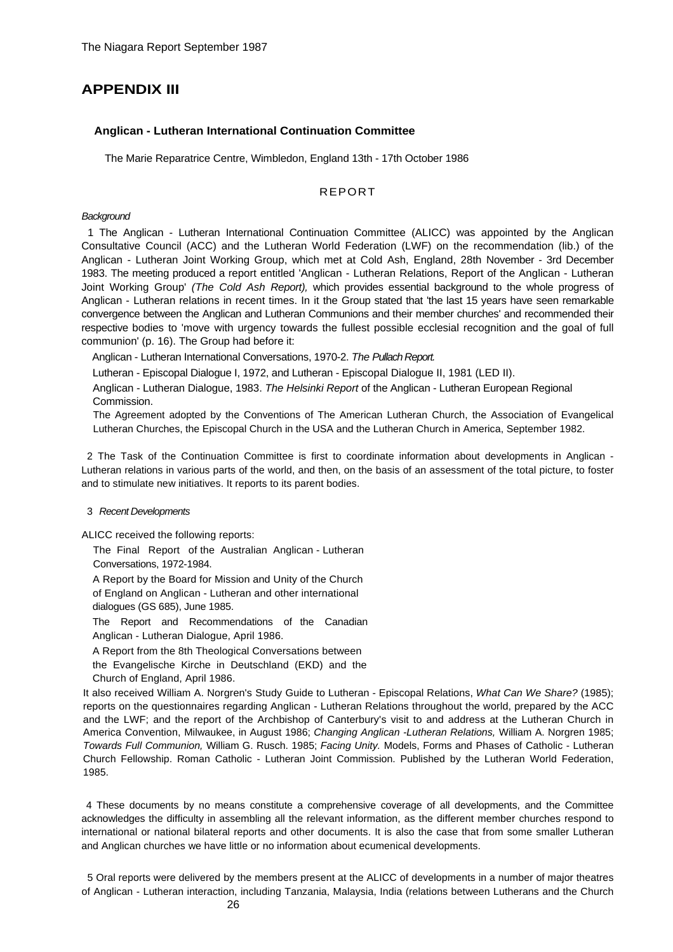## **APPENDIX III**

#### **Anglican - Lutheran International Continuation Committee**

The Marie Reparatrice Centre, Wimbledon, England 13th - 17th October 1986

### REPORT

### *Background*

1 The Anglican - Lutheran International Continuation Committee (ALICC) was appointed by the Anglican Consultative Council (ACC) and the Lutheran World Federation (LWF) on the recommendation (lib.) of the Anglican - Lutheran Joint Working Group, which met at Cold Ash, England, 28th November - 3rd December 1983. The meeting produced a report entitled 'Anglican - Lutheran Relations, Report of the Anglican - Lutheran Joint Working Group' *(The Cold Ash Report),* which provides essential background to the whole progress of Anglican - Lutheran relations in recent times. In it the Group stated that 'the last 15 years have seen remarkable convergence between the Anglican and Lutheran Communions and their member churches' and recommended their respective bodies to 'move with urgency towards the fullest possible ecclesial recognition and the goal of full communion' (p. 16). The Group had before it:

Anglican - Lutheran International Conversations, 1970-2. *The Pullach Report.*

Lutheran - Episcopal Dialogue I, 1972, and Lutheran - Episcopal Dialogue II, 1981 (LED II).

Anglican - Lutheran Dialogue, 1983. *The Helsinki Report* of the Anglican - Lutheran European Regional Commission.

The Agreement adopted by the Conventions of The American Lutheran Church, the Association of Evangelical Lutheran Churches, the Episcopal Church in the USA and the Lutheran Church in America, September 1982.

2 The Task of the Continuation Committee is first to coordinate information about developments in Anglican - Lutheran relations in various parts of the world, and then, on the basis of an assessment of the total picture, to foster and to stimulate new initiatives. It reports to its parent bodies.

#### 3 *Recent Developments*

ALICC received the following reports:

The Final Report of the Australian Anglican - Lutheran Conversations, 1972-1984.

A Report by the Board for Mission and Unity of the Church of England on Anglican - Lutheran and other international dialogues (GS 685), June 1985.

The Report and Recommendations of the Canadian Anglican - Lutheran Dialogue, April 1986.

A Report from the 8th Theological Conversations between

the Evangelische Kirche in Deutschland (EKD) and the

Church of England, April 1986.

It also received William A. Norgren's Study Guide to Lutheran - Episcopal Relations, *What Can We Share?* (1985); reports on the questionnaires regarding Anglican - Lutheran Relations throughout the world, prepared by the ACC and the LWF; and the report of the Archbishop of Canterbury's visit to and address at the Lutheran Church in America Convention, Milwaukee, in August 1986; *Changing Anglican -Lutheran Relations,* William A. Norgren 1985; *Towards Full Communion,* William G. Rusch. 1985; *Facing Unity.* Models, Forms and Phases of Catholic - Lutheran Church Fellowship. Roman Catholic - Lutheran Joint Commission. Published by the Lutheran World Federation, 1985.

4 These documents by no means constitute a comprehensive coverage of all developments, and the Committee acknowledges the difficulty in assembling all the relevant information, as the different member churches respond to international or national bilateral reports and other documents. It is also the case that from some smaller Lutheran and Anglican churches we have little or no information about ecumenical developments.

5 Oral reports were delivered by the members present at the ALICC of developments in a number of major theatres of Anglican - Lutheran interaction, including Tanzania, Malaysia, India (relations between Lutherans and the Church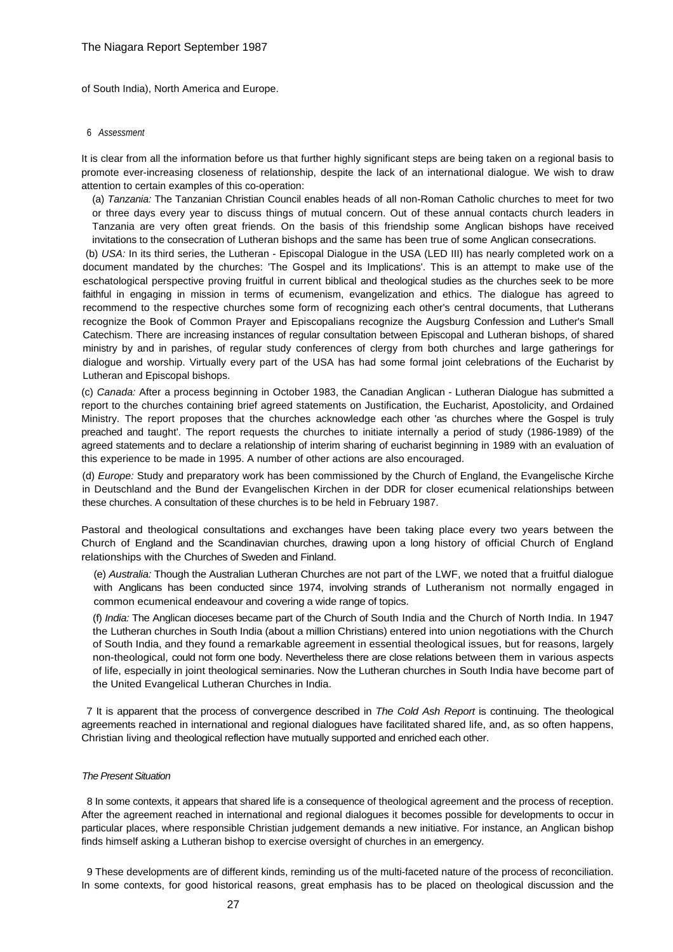of South India), North America and Europe.

#### 6 *Assessment*

It is clear from all the information before us that further highly significant steps are being taken on a regional basis to promote ever-increasing closeness of relationship, despite the lack of an international dialogue. We wish to draw attention to certain examples of this co-operation:

(a) *Tanzania:* The Tanzanian Christian Council enables heads of all non-Roman Catholic churches to meet for two or three days every year to discuss things of mutual concern. Out of these annual contacts church leaders in Tanzania are very often great friends. On the basis of this friendship some Anglican bishops have received invitations to the consecration of Lutheran bishops and the same has been true of some Anglican consecrations.

 (b) *USA:* In its third series, the Lutheran - Episcopal Dialogue in the USA (LED III) has nearly completed work on a document mandated by the churches: 'The Gospel and its Implications'. This is an attempt to make use of the eschatological perspective proving fruitful in current biblical and theological studies as the churches seek to be more faithful in engaging in mission in terms of ecumenism, evangelization and ethics. The dialogue has agreed to recommend to the respective churches some form of recognizing each other's central documents, that Lutherans recognize the Book of Common Prayer and Episcopalians recognize the Augsburg Confession and Luther's Small Catechism. There are increasing instances of regular consultation between Episcopal and Lutheran bishops, of shared ministry by and in parishes, of regular study conferences of clergy from both churches and large gatherings for dialogue and worship. Virtually every part of the USA has had some formal joint celebrations of the Eucharist by Lutheran and Episcopal bishops.

(c) *Canada:* After a process beginning in October 1983, the Canadian Anglican - Lutheran Dialogue has submitted a report to the churches containing brief agreed statements on Justification, the Eucharist, Apostolicity, and Ordained Ministry. The report proposes that the churches acknowledge each other 'as churches where the Gospel is truly preached and taught'. The report requests the churches to initiate internally a period of study (1986-1989) of the agreed statements and to declare a relationship of interim sharing of eucharist beginning in 1989 with an evaluation of this experience to be made in 1995. A number of other actions are also encouraged.

(d) *Europe:* Study and preparatory work has been commissioned by the Church of England, the Evangelische Kirche in Deutschland and the Bund der Evangelischen Kirchen in der DDR for closer ecumenical relationships between these churches. A consultation of these churches is to be held in February 1987.

Pastoral and theological consultations and exchanges have been taking place every two years between the Church of England and the Scandinavian churches, drawing upon a long history of official Church of England relationships with the Churches of Sweden and Finland.

(e) *Australia:* Though the Australian Lutheran Churches are not part of the LWF, we noted that a fruitful dialogue with Anglicans has been conducted since 1974, involving strands of Lutheranism not normally engaged in common ecumenical endeavour and covering a wide range of topics.

(f) *India:* The Anglican dioceses became part of the Church of South India and the Church of North India. In 1947 the Lutheran churches in South India (about a million Christians) entered into union negotiations with the Church of South India, and they found a remarkable agreement in essential theological issues, but for reasons, largely non-theological, could not form one body. Nevertheless there are close relations between them in various aspects of life, especially in joint theological seminaries. Now the Lutheran churches in South India have become part of the United Evangelical Lutheran Churches in India.

7 It is apparent that the process of convergence described in *The Cold Ash Report* is continuing. The theological agreements reached in international and regional dialogues have facilitated shared life, and, as so often happens, Christian living and theological reflection have mutually supported and enriched each other.

#### *The Present Situation*

8 In some contexts, it appears that shared life is a consequence of theological agreement and the process of reception. After the agreement reached in international and regional dialogues it becomes possible for developments to occur in particular places, where responsible Christian judgement demands a new initiative. For instance, an Anglican bishop finds himself asking a Lutheran bishop to exercise oversight of churches in an emergency.

9 These developments are of different kinds, reminding us of the multi-faceted nature of the process of reconciliation. In some contexts, for good historical reasons, great emphasis has to be placed on theological discussion and the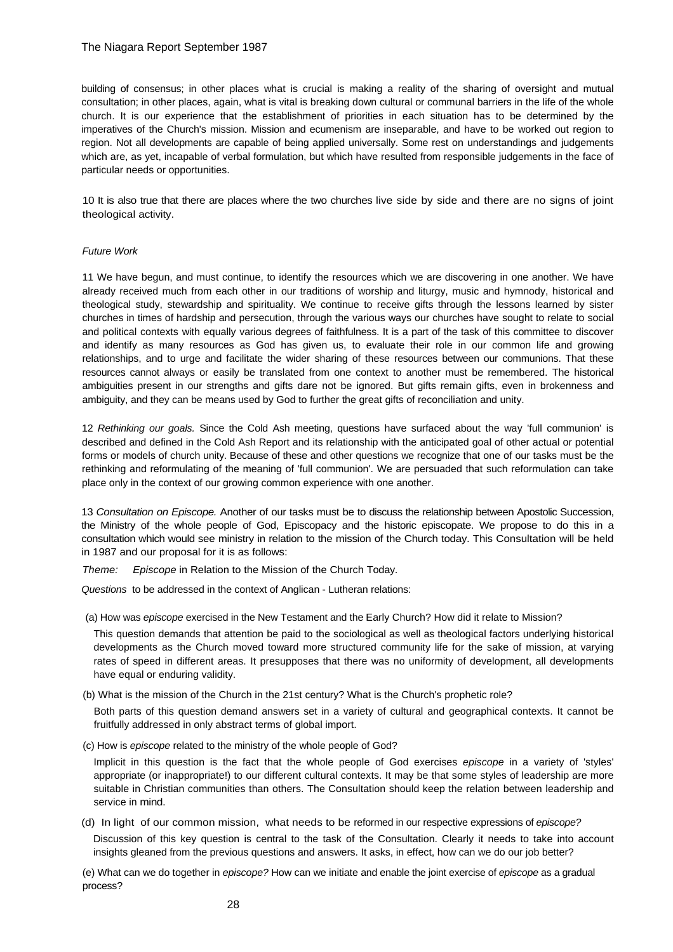### The Niagara Report September 1987

building of consensus; in other places what is crucial is making a reality of the sharing of oversight and mutual consultation; in other places, again, what is vital is breaking down cultural or communal barriers in the life of the whole church. It is our experience that the establishment of priorities in each situation has to be determined by the imperatives of the Church's mission. Mission and ecumenism are inseparable, and have to be worked out region to region. Not all developments are capable of being applied universally. Some rest on understandings and judgements which are, as yet, incapable of verbal formulation, but which have resulted from responsible judgements in the face of particular needs or opportunities.

10 It is also true that there are places where the two churches live side by side and there are no signs of joint theological activity.

#### *Future Work*

11 We have begun, and must continue, to identify the resources which we are discovering in one another. We have already received much from each other in our traditions of worship and liturgy, music and hymnody, historical and theological study, stewardship and spirituality. We continue to receive gifts through the lessons learned by sister churches in times of hardship and persecution, through the various ways our churches have sought to relate to social and political contexts with equally various degrees of faithfulness. It is a part of the task of this committee to discover and identify as many resources as God has given us, to evaluate their role in our common life and growing relationships, and to urge and facilitate the wider sharing of these resources between our communions. That these resources cannot always or easily be translated from one context to another must be remembered. The historical ambiguities present in our strengths and gifts dare not be ignored. But gifts remain gifts, even in brokenness and ambiguity, and they can be means used by God to further the great gifts of reconciliation and unity.

12 *Rethinking our goals.* Since the Cold Ash meeting, questions have surfaced about the way 'full communion' is described and defined in the Cold Ash Report and its relationship with the anticipated goal of other actual or potential forms or models of church unity. Because of these and other questions we recognize that one of our tasks must be the rethinking and reformulating of the meaning of 'full communion'. We are persuaded that such reformulation can take place only in the context of our growing common experience with one another.

13 *Consultation on Episcope.* Another of our tasks must be to discuss the relationship between Apostolic Succession, the Ministry of the whole people of God, Episcopacy and the historic episcopate. We propose to do this in a consultation which would see ministry in relation to the mission of the Church today. This Consultation will be held in 1987 and our proposal for it is as follows:

*Theme: Episcope* in Relation to the Mission of the Church Today.

*Questions* to be addressed in the context of Anglican - Lutheran relations:

(a) How was *episcope* exercised in the New Testament and the Early Church? How did it relate to Mission?

This question demands that attention be paid to the sociological as well as theological factors underlying historical developments as the Church moved toward more structured community life for the sake of mission, at varying rates of speed in different areas. It presupposes that there was no uniformity of development, all developments have equal or enduring validity.

(b) What is the mission of the Church in the 21st century? What is the Church's prophetic role?

Both parts of this question demand answers set in a variety of cultural and geographical contexts. It cannot be fruitfully addressed in only abstract terms of global import.

(c) How is *episcope* related to the ministry of the whole people of God?

Implicit in this question is the fact that the whole people of God exercises *episcope* in a variety of 'styles' appropriate (or inappropriate!) to our different cultural contexts. It may be that some styles of leadership are more suitable in Christian communities than others. The Consultation should keep the relation between leadership and service in mind.

(d) In light of our common mission, what needs to be reformed in our respective expressions of *episcope?*

Discussion of this key question is central to the task of the Consultation. Clearly it needs to take into account insights gleaned from the previous questions and answers. It asks, in effect, how can we do our job better?

(e) What can we do together in *episcope?* How can we initiate and enable the joint exercise of *episcope* as a gradual process?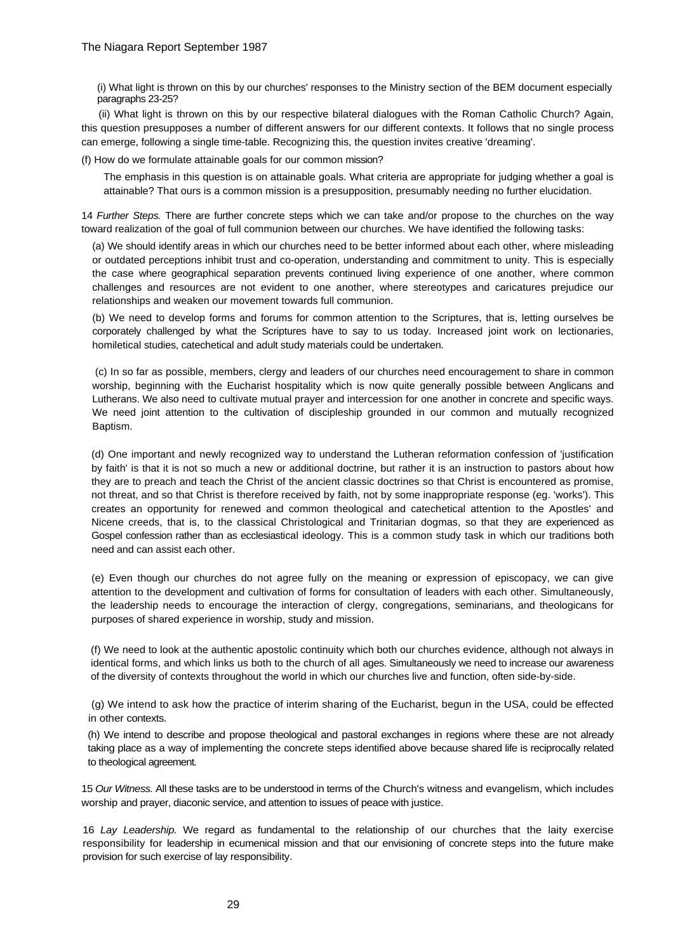(i) What light is thrown on this by our churches' responses to the Ministry section of the BEM document especially paragraphs 23-25?

 (ii) What light is thrown on this by our respective bilateral dialogues with the Roman Catholic Church? Again, this question presupposes a number of different answers for our different contexts. It follows that no single process can emerge, following a single time-table. Recognizing this, the question invites creative 'dreaming'.

(f) How do we formulate attainable goals for our common mission?

The emphasis in this question is on attainable goals. What criteria are appropriate for judging whether a goal is attainable? That ours is a common mission is a presupposition, presumably needing no further elucidation.

14 *Further Steps.* There are further concrete steps which we can take and/or propose to the churches on the way toward realization of the goal of full communion between our churches. We have identified the following tasks:

(a) We should identify areas in which our churches need to be better informed about each other, where misleading or outdated perceptions inhibit trust and co-operation, understanding and commitment to unity. This is especially the case where geographical separation prevents continued living experience of one another, where common challenges and resources are not evident to one another, where stereotypes and caricatures prejudice our relationships and weaken our movement towards full communion.

(b) We need to develop forms and forums for common attention to the Scriptures, that is, letting ourselves be corporately challenged by what the Scriptures have to say to us today. Increased joint work on lectionaries, homiletical studies, catechetical and adult study materials could be undertaken.

 (c) In so far as possible, members, clergy and leaders of our churches need encouragement to share in common worship, beginning with the Eucharist hospitality which is now quite generally possible between Anglicans and Lutherans. We also need to cultivate mutual prayer and intercession for one another in concrete and specific ways. We need joint attention to the cultivation of discipleship grounded in our common and mutually recognized Baptism.

(d) One important and newly recognized way to understand the Lutheran reformation confession of 'justification by faith' is that it is not so much a new or additional doctrine, but rather it is an instruction to pastors about how they are to preach and teach the Christ of the ancient classic doctrines so that Christ is encountered as promise, not threat, and so that Christ is therefore received by faith, not by some inappropriate response (eg. 'works'). This creates an opportunity for renewed and common theological and catechetical attention to the Apostles' and Nicene creeds, that is, to the classical Christological and Trinitarian dogmas, so that they are experienced as Gospel confession rather than as ecclesiastical ideology. This is a common study task in which our traditions both need and can assist each other.

(e) Even though our churches do not agree fully on the meaning or expression of episcopacy, we can give attention to the development and cultivation of forms for consultation of leaders with each other. Simultaneously, the leadership needs to encourage the interaction of clergy, congregations, seminarians, and theologicans for purposes of shared experience in worship, study and mission.

(f) We need to look at the authentic apostolic continuity which both our churches evidence, although not always in identical forms, and which links us both to the church of all ages. Simultaneously we need to increase our awareness of the diversity of contexts throughout the world in which our churches live and function, often side-by-side.

 (g) We intend to ask how the practice of interim sharing of the Eucharist, begun in the USA, could be effected in other contexts.

(h) We intend to describe and propose theological and pastoral exchanges in regions where these are not already taking place as a way of implementing the concrete steps identified above because shared life is reciprocally related to theological agreement.

15 *Our Witness.* All these tasks are to be understood in terms of the Church's witness and evangelism, which includes worship and prayer, diaconic service, and attention to issues of peace with justice.

16 *Lay Leadership.* We regard as fundamental to the relationship of our churches that the laity exercise responsibility for leadership in ecumenical mission and that our envisioning of concrete steps into the future make provision for such exercise of lay responsibility.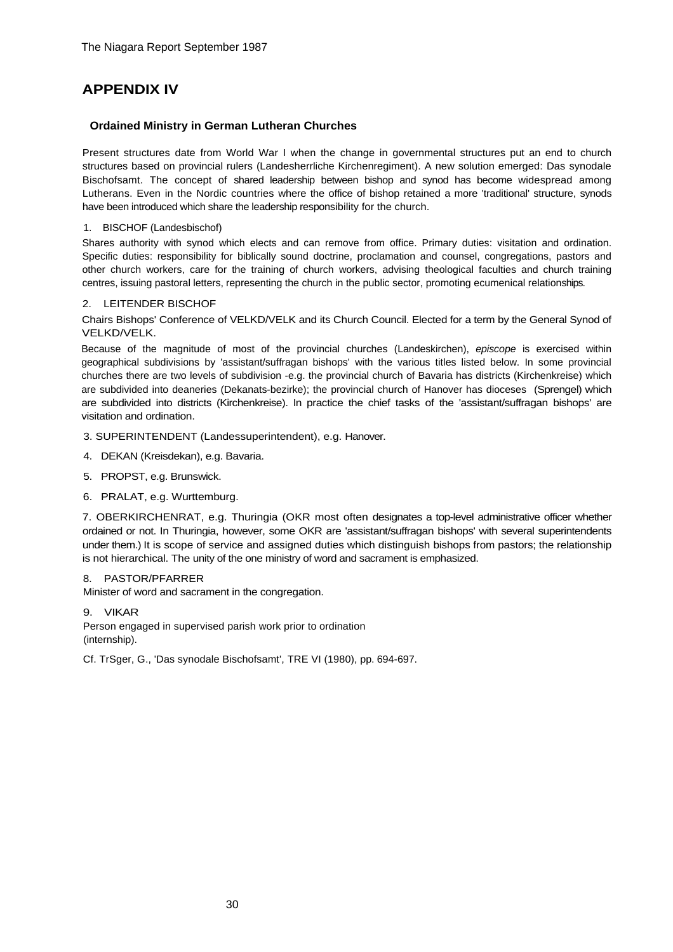# **APPENDIX IV**

### **Ordained Ministry in German Lutheran Churches**

Present structures date from World War I when the change in governmental structures put an end to church structures based on provincial rulers (Landesherrliche Kirchenregiment). A new solution emerged: Das synodale Bischofsamt. The concept of shared leadership between bishop and synod has become widespread among Lutherans. Even in the Nordic countries where the office of bishop retained a more 'traditional' structure, synods have been introduced which share the leadership responsibility for the church.

### 1. BISCHOF (Landesbischof)

Shares authority with synod which elects and can remove from office. Primary duties: visitation and ordination. Specific duties: responsibility for biblically sound doctrine, proclamation and counsel, congregations, pastors and other church workers, care for the training of church workers, advising theological faculties and church training centres, issuing pastoral letters, representing the church in the public sector, promoting ecumenical relationships.

### 2. LEITENDER BISCHOF

Chairs Bishops' Conference of VELKD/VELK and its Church Council. Elected for a term by the General Synod of VELKD/VELK.

Because of the magnitude of most of the provincial churches (Landeskirchen), *episcope* is exercised within geographical subdivisions by 'assistant/suffragan bishops' with the various titles listed below. In some provincial churches there are two levels of subdivision -e.g. the provincial church of Bavaria has districts (Kirchenkreise) which are subdivided into deaneries (Dekanats-bezirke); the provincial church of Hanover has dioceses (Sprengel) which are subdivided into districts (Kirchenkreise). In practice the chief tasks of the 'assistant/suffragan bishops' are visitation and ordination.

3. SUPERINTENDENT (Landessuperintendent), e.g. Hanover.

- 4. DEKAN (Kreisdekan), e.g. Bavaria.
- 5. PROPST, e.g. Brunswick.
- 6. PRALAT, e.g. Wurttemburg.

7. OBERKIRCHENRAT, e.g. Thuringia (OKR most often designates a top-level administrative officer whether ordained or not. In Thuringia, however, some OKR are 'assistant/suffragan bishops' with several superintendents under them.) It is scope of service and assigned duties which distinguish bishops from pastors; the relationship is not hierarchical. The unity of the one ministry of word and sacrament is emphasized.

### 8. PASTOR/PFARRER

Minister of word and sacrament in the congregation.

9. VIKAR

Person engaged in supervised parish work prior to ordination (internship).

Cf. TrSger, G., 'Das synodale Bischofsamt', TRE VI (1980), pp. 694-697.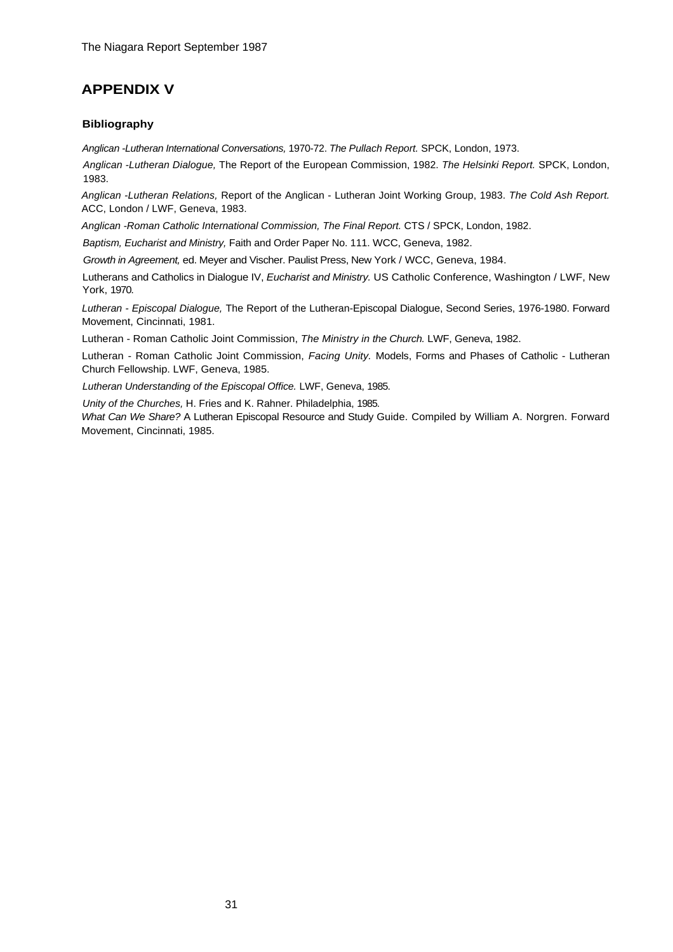# **APPENDIX V**

## **Bibliography**

*Anglican -Lutheran International Conversations,* 1970-72. *The Pullach Report.* SPCK, London, 1973.

*Anglican -Lutheran Dialogue,* The Report of the European Commission, 1982. *The Helsinki Report.* SPCK, London, 1983.

*Anglican -Lutheran Relations,* Report of the Anglican - Lutheran Joint Working Group, 1983. *The Cold Ash Report.*  ACC, London / LWF, Geneva, 1983.

*Anglican -Roman Catholic International Commission, The Final Report.* CTS / SPCK, London, 1982.

*Baptism, Eucharist and Ministry,* Faith and Order Paper No. 111. WCC, Geneva, 1982.

*Growth in Agreement,* ed. Meyer and Vischer. Paulist Press, New York / WCC, Geneva, 1984.

Lutherans and Catholics in Dialogue IV, *Eucharist and Ministry.* US Catholic Conference, Washington / LWF, New York, 1970.

*Lutheran - Episcopal Dialogue,* The Report of the Lutheran-Episcopal Dialogue, Second Series, 1976-1980. Forward Movement, Cincinnati, 1981.

Lutheran - Roman Catholic Joint Commission, *The Ministry in the Church.* LWF, Geneva, 1982.

Lutheran - Roman Catholic Joint Commission, *Facing Unity.* Models, Forms and Phases of Catholic - Lutheran Church Fellowship. LWF, Geneva, 1985.

*Lutheran Understanding of the Episcopal Office.* LWF, Geneva, 1985.

*Unity of the Churches,* H. Fries and K. Rahner. Philadelphia, 1985.

*What Can We Share?* A Lutheran Episcopal Resource and Study Guide. Compiled by William A. Norgren. Forward Movement, Cincinnati, 1985.